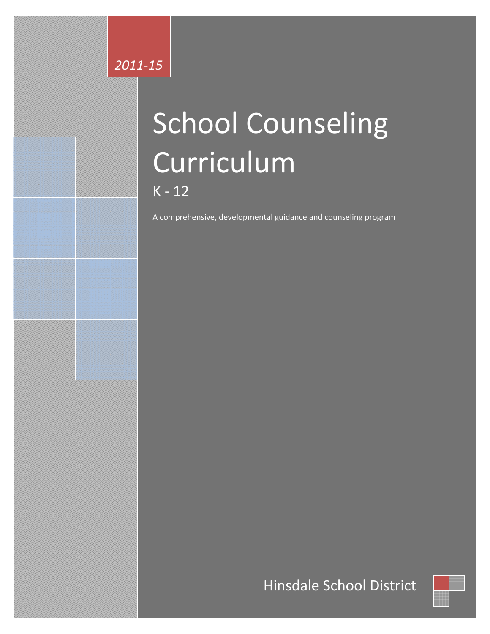# 2011-15

# **School Counseling** Curriculum  $K - 12$

A comprehensive, developmental guidance and counseling program

# Hinsdale School District

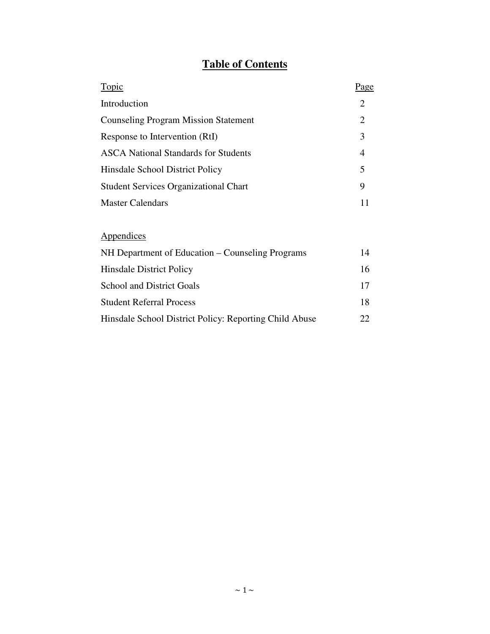# **Table of Contents**

| Topic                                        | Page                  |
|----------------------------------------------|-----------------------|
| Introduction                                 | $\mathcal{D}_{\cdot}$ |
| <b>Counseling Program Mission Statement</b>  | 2                     |
| Response to Intervention (RtI)               | 3                     |
| <b>ASCA</b> National Standards for Students  | 4                     |
| Hinsdale School District Policy              | 5                     |
| <b>Student Services Organizational Chart</b> | 9                     |
| <b>Master Calendars</b>                      |                       |

# Appendices

| NH Department of Education – Counseling Programs       | 14  |
|--------------------------------------------------------|-----|
| <b>Hinsdale District Policy</b>                        | 16. |
| <b>School and District Goals</b>                       | 17  |
| <b>Student Referral Process</b>                        | 18  |
| Hinsdale School District Policy: Reporting Child Abuse | 22  |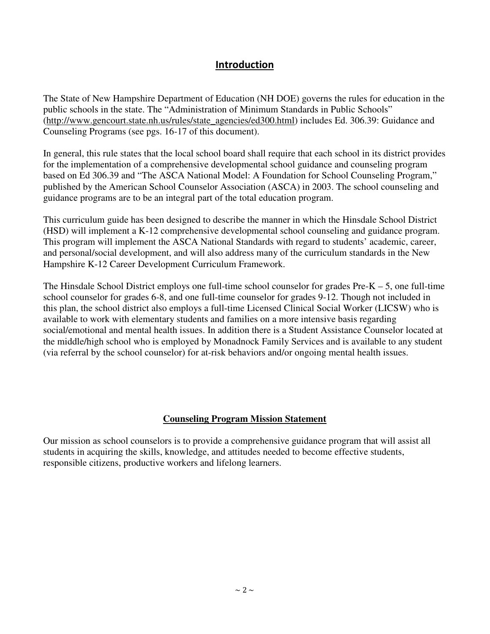### **Introduction**

The State of New Hampshire Department of Education (NH DOE) governs the rules for education in the public schools in the state. The "Administration of Minimum Standards in Public Schools" (http://www.gencourt.state.nh.us/rules/state\_agencies/ed300.html) includes Ed. 306.39: Guidance and Counseling Programs (see pgs. 16-17 of this document).

In general, this rule states that the local school board shall require that each school in its district provides for the implementation of a comprehensive developmental school guidance and counseling program based on Ed 306.39 and "The ASCA National Model: A Foundation for School Counseling Program," published by the American School Counselor Association (ASCA) in 2003. The school counseling and guidance programs are to be an integral part of the total education program.

This curriculum guide has been designed to describe the manner in which the Hinsdale School District (HSD) will implement a K-12 comprehensive developmental school counseling and guidance program. This program will implement the ASCA National Standards with regard to students' academic, career, and personal/social development, and will also address many of the curriculum standards in the New Hampshire K-12 Career Development Curriculum Framework.

The Hinsdale School District employs one full-time school counselor for grades  $Pre-K - 5$ , one full-time school counselor for grades 6-8, and one full-time counselor for grades 9-12. Though not included in this plan, the school district also employs a full-time Licensed Clinical Social Worker (LICSW) who is available to work with elementary students and families on a more intensive basis regarding social/emotional and mental health issues. In addition there is a Student Assistance Counselor located at the middle/high school who is employed by Monadnock Family Services and is available to any student (via referral by the school counselor) for at-risk behaviors and/or ongoing mental health issues.

### **Counseling Program Mission Statement**

Our mission as school counselors is to provide a comprehensive guidance program that will assist all students in acquiring the skills, knowledge, and attitudes needed to become effective students, responsible citizens, productive workers and lifelong learners.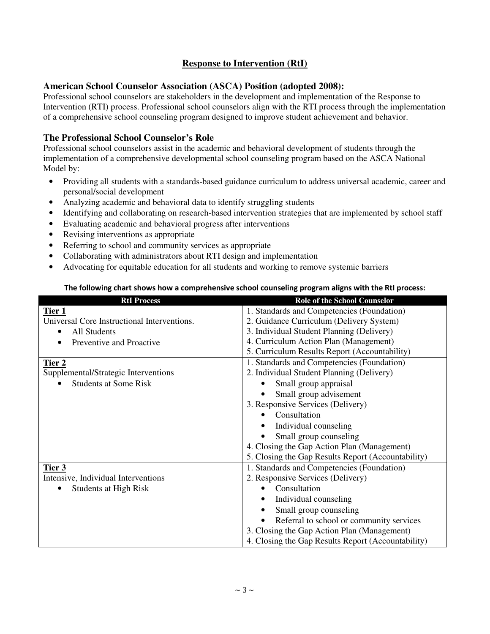### **Response to Intervention (RtI)**

### **American School Counselor Association (ASCA) Position (adopted 2008):**

Professional school counselors are stakeholders in the development and implementation of the Response to Intervention (RTI) process. Professional school counselors align with the RTI process through the implementation of a comprehensive school counseling program designed to improve student achievement and behavior.

### **The Professional School Counselor's Role**

Professional school counselors assist in the academic and behavioral development of students through the implementation of a comprehensive developmental school counseling program based on the ASCA National Model by:

- Providing all students with a standards-based guidance curriculum to address universal academic, career and personal/social development
- Analyzing academic and behavioral data to identify struggling students
- Identifying and collaborating on research-based intervention strategies that are implemented by school staff
- Evaluating academic and behavioral progress after interventions
- Revising interventions as appropriate
- Referring to school and community services as appropriate
- Collaborating with administrators about RTI design and implementation
- Advocating for equitable education for all students and working to remove systemic barriers

### The following chart shows how a comprehensive school counseling program aligns with the RtI process:

| <b>RtI Process</b>                          | <b>Role of the School Counselor</b>                |
|---------------------------------------------|----------------------------------------------------|
| <u>Tier 1</u>                               | 1. Standards and Competencies (Foundation)         |
| Universal Core Instructional Interventions. | 2. Guidance Curriculum (Delivery System)           |
| All Students<br>٠                           | 3. Individual Student Planning (Delivery)          |
| Preventive and Proactive                    | 4. Curriculum Action Plan (Management)             |
|                                             | 5. Curriculum Results Report (Accountability)      |
| <u>Tier 2</u>                               | 1. Standards and Competencies (Foundation)         |
| Supplemental/Strategic Interventions        | 2. Individual Student Planning (Delivery)          |
| <b>Students at Some Risk</b>                | Small group appraisal                              |
|                                             | Small group advisement                             |
|                                             | 3. Responsive Services (Delivery)                  |
|                                             | Consultation                                       |
|                                             | Individual counseling                              |
|                                             | Small group counseling                             |
|                                             | 4. Closing the Gap Action Plan (Management)        |
|                                             | 5. Closing the Gap Results Report (Accountability) |
| Tier 3                                      | 1. Standards and Competencies (Foundation)         |
| Intensive, Individual Interventions         | 2. Responsive Services (Delivery)                  |
| Students at High Risk                       | Consultation                                       |
|                                             | Individual counseling                              |
|                                             | Small group counseling                             |
|                                             | Referral to school or community services           |
|                                             | 3. Closing the Gap Action Plan (Management)        |
|                                             | 4. Closing the Gap Results Report (Accountability) |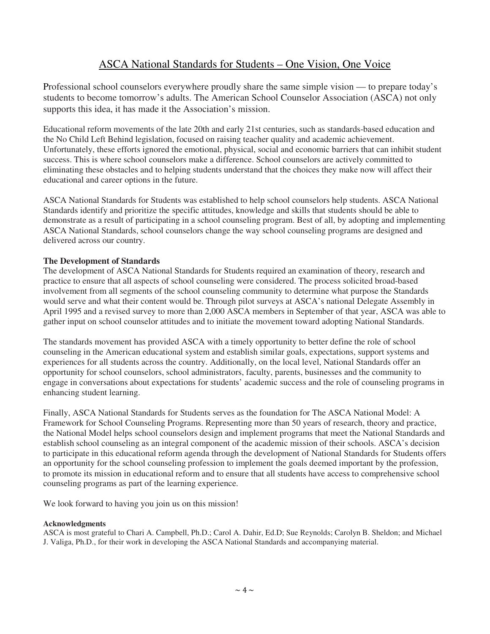### ASCA National Standards for Students – One Vision, One Voice

Professional school counselors everywhere proudly share the same simple vision — to prepare today's students to become tomorrow's adults. The American School Counselor Association (ASCA) not only supports this idea, it has made it the Association's mission.

Educational reform movements of the late 20th and early 21st centuries, such as standards-based education and the No Child Left Behind legislation, focused on raising teacher quality and academic achievement. Unfortunately, these efforts ignored the emotional, physical, social and economic barriers that can inhibit student success. This is where school counselors make a difference. School counselors are actively committed to eliminating these obstacles and to helping students understand that the choices they make now will affect their educational and career options in the future.

ASCA National Standards for Students was established to help school counselors help students. ASCA National Standards identify and prioritize the specific attitudes, knowledge and skills that students should be able to demonstrate as a result of participating in a school counseling program. Best of all, by adopting and implementing ASCA National Standards, school counselors change the way school counseling programs are designed and delivered across our country.

### **The Development of Standards**

The development of ASCA National Standards for Students required an examination of theory, research and practice to ensure that all aspects of school counseling were considered. The process solicited broad-based involvement from all segments of the school counseling community to determine what purpose the Standards would serve and what their content would be. Through pilot surveys at ASCA's national Delegate Assembly in April 1995 and a revised survey to more than 2,000 ASCA members in September of that year, ASCA was able to gather input on school counselor attitudes and to initiate the movement toward adopting National Standards.

The standards movement has provided ASCA with a timely opportunity to better define the role of school counseling in the American educational system and establish similar goals, expectations, support systems and experiences for all students across the country. Additionally, on the local level, National Standards offer an opportunity for school counselors, school administrators, faculty, parents, businesses and the community to engage in conversations about expectations for students' academic success and the role of counseling programs in enhancing student learning.

Finally, ASCA National Standards for Students serves as the foundation for The ASCA National Model: A Framework for School Counseling Programs. Representing more than 50 years of research, theory and practice, the National Model helps school counselors design and implement programs that meet the National Standards and establish school counseling as an integral component of the academic mission of their schools. ASCA's decision to participate in this educational reform agenda through the development of National Standards for Students offers an opportunity for the school counseling profession to implement the goals deemed important by the profession, to promote its mission in educational reform and to ensure that all students have access to comprehensive school counseling programs as part of the learning experience.

We look forward to having you join us on this mission!

### **Acknowledgments**

ASCA is most grateful to Chari A. Campbell, Ph.D.; Carol A. Dahir, Ed.D; Sue Reynolds; Carolyn B. Sheldon; and Michael J. Valiga, Ph.D., for their work in developing the ASCA National Standards and accompanying material.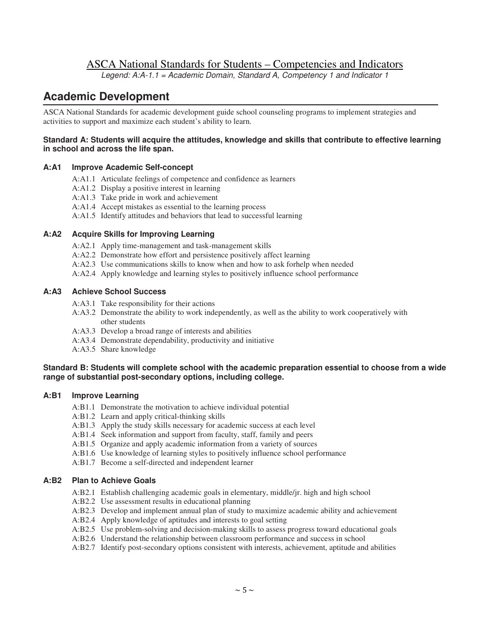### ASCA National Standards for Students – Competencies and Indicators

*Legend: A:A-1.1 = Academic Domain, Standard A, Competency 1 and Indicator 1*

### **Academic Development**

ASCA National Standards for academic development guide school counseling programs to implement strategies and activities to support and maximize each student's ability to learn.

### **Standard A: Students will acquire the attitudes, knowledge and skills that contribute to effective learning in school and across the life span.**

### **A:A1 Improve Academic Self-concept**

- A:A1.1 Articulate feelings of competence and confidence as learners
- A:A1.2 Display a positive interest in learning
- A:A1.3 Take pride in work and achievement
- A:A1.4 Accept mistakes as essential to the learning process
- A:A1.5 Identify attitudes and behaviors that lead to successful learning

### **A:A2 Acquire Skills for Improving Learning**

- A:A2.1 Apply time-management and task-management skills
- A:A2.2 Demonstrate how effort and persistence positively affect learning
- A:A2.3 Use communications skills to know when and how to ask forhelp when needed
- A:A2.4 Apply knowledge and learning styles to positively influence school performance

#### **A:A3 Achieve School Success**

- A:A3.1 Take responsibility for their actions
- A:A3.2 Demonstrate the ability to work independently, as well as the ability to work cooperatively with other students
- A:A3.3 Develop a broad range of interests and abilities
- A:A3.4 Demonstrate dependability, productivity and initiative
- A:A3.5 Share knowledge

### **Standard B: Students will complete school with the academic preparation essential to choose from a wide range of substantial post-secondary options, including college.**

### **A:B1 Improve Learning**

- A:B1.1 Demonstrate the motivation to achieve individual potential
- A:B1.2 Learn and apply critical-thinking skills
- A:B1.3 Apply the study skills necessary for academic success at each level
- A:B1.4 Seek information and support from faculty, staff, family and peers
- A:B1.5 Organize and apply academic information from a variety of sources
- A:B1.6 Use knowledge of learning styles to positively influence school performance
- A:B1.7 Become a self-directed and independent learner

### **A:B2 Plan to Achieve Goals**

- A:B2.1 Establish challenging academic goals in elementary, middle/jr. high and high school
- A:B2.2 Use assessment results in educational planning
- A:B2.3 Develop and implement annual plan of study to maximize academic ability and achievement
- A:B2.4 Apply knowledge of aptitudes and interests to goal setting
- A:B2.5 Use problem-solving and decision-making skills to assess progress toward educational goals
- A:B2.6 Understand the relationship between classroom performance and success in school
- A:B2.7 Identify post-secondary options consistent with interests, achievement, aptitude and abilities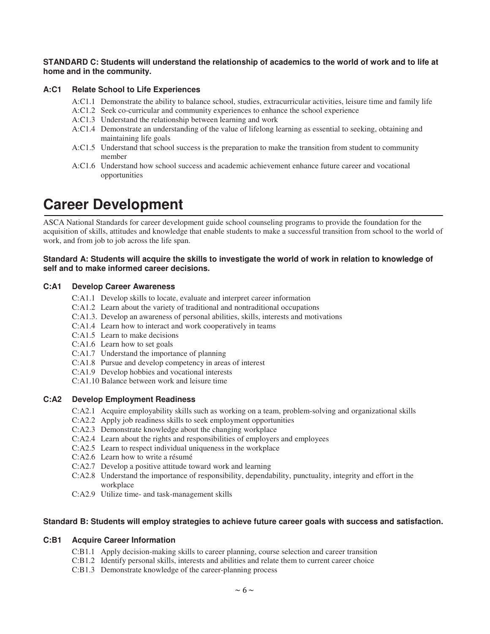### STANDARD C: Students will understand the relationship of academics to the world of work and to life at **home and in the community.**

### **A:C1 Relate School to Life Experiences**

- A:C1.1 Demonstrate the ability to balance school, studies, extracurricular activities, leisure time and family life
- A:C1.2 Seek co-curricular and community experiences to enhance the school experience
- A:C1.3 Understand the relationship between learning and work
- A:C1.4 Demonstrate an understanding of the value of lifelong learning as essential to seeking, obtaining and maintaining life goals
- A:C1.5 Understand that school success is the preparation to make the transition from student to community member
- A:C1.6 Understand how school success and academic achievement enhance future career and vocational opportunities

# **Career Development**

ASCA National Standards for career development guide school counseling programs to provide the foundation for the acquisition of skills, attitudes and knowledge that enable students to make a successful transition from school to the world of work, and from job to job across the life span.

#### Standard A: Students will acquire the skills to investigate the world of work in relation to knowledge of **self and to make informed career decisions.**

### **C:A1 Develop Career Awareness**

- C:A1.1 Develop skills to locate, evaluate and interpret career information
- C:A1.2 Learn about the variety of traditional and nontraditional occupations
- C:A1.3. Develop an awareness of personal abilities, skills, interests and motivations
- C:A1.4 Learn how to interact and work cooperatively in teams
- C:A1.5 Learn to make decisions
- C:A1.6 Learn how to set goals
- C:A1.7 Understand the importance of planning
- C:A1.8 Pursue and develop competency in areas of interest
- C:A1.9 Develop hobbies and vocational interests
- C:A1.10 Balance between work and leisure time

### **C:A2 Develop Employment Readiness**

- C:A2.1 Acquire employability skills such as working on a team, problem-solving and organizational skills
- C:A2.2 Apply job readiness skills to seek employment opportunities
- C:A2.3 Demonstrate knowledge about the changing workplace
- C:A2.4 Learn about the rights and responsibilities of employers and employees
- C:A2.5 Learn to respect individual uniqueness in the workplace
- C:A2.6 Learn how to write a résumé
- C:A2.7 Develop a positive attitude toward work and learning
- C:A2.8 Understand the importance of responsibility, dependability, punctuality, integrity and effort in the workplace
- C:A2.9 Utilize time- and task-management skills

### **Standard B: Students will employ strategies to achieve future career goals with success and satisfaction.**

### **C:B1 Acquire Career Information**

- C:B1.1 Apply decision-making skills to career planning, course selection and career transition
- C:B1.2 Identify personal skills, interests and abilities and relate them to current career choice
- C:B1.3 Demonstrate knowledge of the career-planning process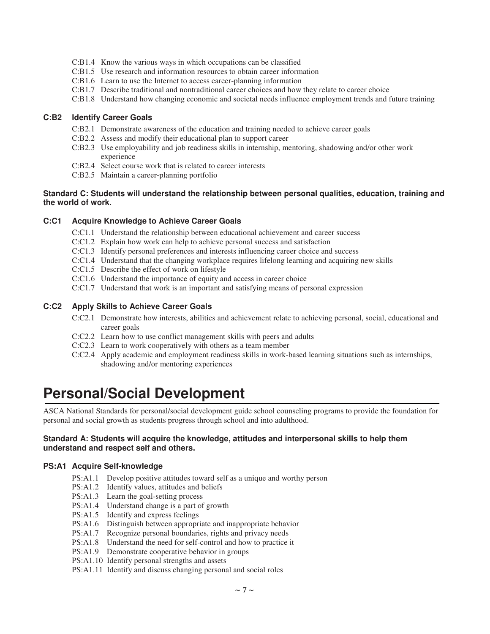- C:B1.4 Know the various ways in which occupations can be classified
- C:B1.5 Use research and information resources to obtain career information
- C:B1.6 Learn to use the Internet to access career-planning information
- C:B1.7 Describe traditional and nontraditional career choices and how they relate to career choice
- C:B1.8 Understand how changing economic and societal needs influence employment trends and future training

### **C:B2 Identify Career Goals**

- C:B2.1 Demonstrate awareness of the education and training needed to achieve career goals
- C:B2.2 Assess and modify their educational plan to support career
- C:B2.3 Use employability and job readiness skills in internship, mentoring, shadowing and/or other work experience
- C:B2.4 Select course work that is related to career interests
- C:B2.5 Maintain a career-planning portfolio

### **Standard C: Students will understand the relationship between personal qualities, education, training and the world of work.**

### **C:C1 Acquire Knowledge to Achieve Career Goals**

- C:C1.1 Understand the relationship between educational achievement and career success
- C:C1.2 Explain how work can help to achieve personal success and satisfaction
- C:C1.3 Identify personal preferences and interests influencing career choice and success
- C:C1.4 Understand that the changing workplace requires lifelong learning and acquiring new skills
- C:C1.5 Describe the effect of work on lifestyle
- C:C1.6 Understand the importance of equity and access in career choice
- C:C1.7 Understand that work is an important and satisfying means of personal expression

### **C:C2 Apply Skills to Achieve Career Goals**

- C:C2.1 Demonstrate how interests, abilities and achievement relate to achieving personal, social, educational and career goals
- C:C2.2 Learn how to use conflict management skills with peers and adults
- C:C2.3 Learn to work cooperatively with others as a team member
- C:C2.4 Apply academic and employment readiness skills in work-based learning situations such as internships, shadowing and/or mentoring experiences

# **Personal/Social Development**

ASCA National Standards for personal/social development guide school counseling programs to provide the foundation for personal and social growth as students progress through school and into adulthood.

### **Standard A: Students will acquire the knowledge, attitudes and interpersonal skills to help them understand and respect self and others.**

### **PS:A1 Acquire Self-knowledge**

- PS:A1.1 Develop positive attitudes toward self as a unique and worthy person
- PS:A1.2 Identify values, attitudes and beliefs
- PS:A1.3 Learn the goal-setting process
- PS:A1.4 Understand change is a part of growth
- PS:A1.5 Identify and express feelings
- PS:A1.6 Distinguish between appropriate and inappropriate behavior
- PS:A1.7 Recognize personal boundaries, rights and privacy needs
- PS:A1.8 Understand the need for self-control and how to practice it
- PS:A1.9 Demonstrate cooperative behavior in groups
- PS:A1.10 Identify personal strengths and assets
- PS:A1.11 Identify and discuss changing personal and social roles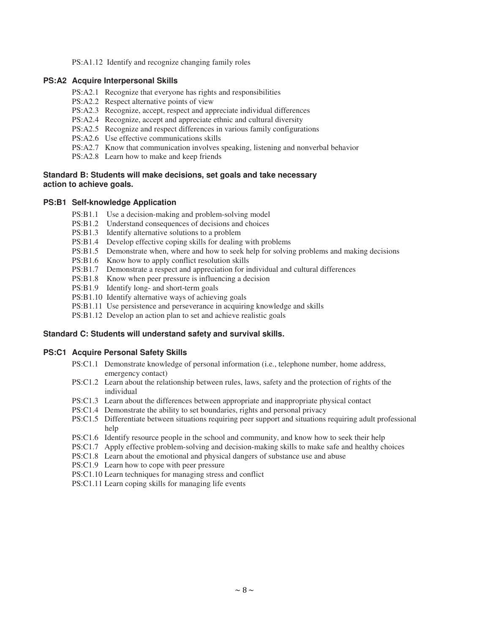PS:A1.12 Identify and recognize changing family roles

### **PS:A2 Acquire Interpersonal Skills**

- PS:A2.1 Recognize that everyone has rights and responsibilities
- PS:A2.2 Respect alternative points of view
- PS:A2.3 Recognize, accept, respect and appreciate individual differences
- PS:A2.4 Recognize, accept and appreciate ethnic and cultural diversity
- PS:A2.5 Recognize and respect differences in various family configurations
- PS:A2.6 Use effective communications skills
- PS:A2.7 Know that communication involves speaking, listening and nonverbal behavior
- PS:A2.8 Learn how to make and keep friends

### **Standard B: Students will make decisions, set goals and take necessary action to achieve goals.**

### **PS:B1 Self-knowledge Application**

- PS:B1.1 Use a decision-making and problem-solving model
- PS:B1.2 Understand consequences of decisions and choices
- PS:B1.3 Identify alternative solutions to a problem
- PS:B1.4 Develop effective coping skills for dealing with problems
- PS:B1.5 Demonstrate when, where and how to seek help for solving problems and making decisions
- PS:B1.6 Know how to apply conflict resolution skills
- PS:B1.7 Demonstrate a respect and appreciation for individual and cultural differences
- PS:B1.8 Know when peer pressure is influencing a decision
- PS:B1.9 Identify long- and short-term goals
- PS:B1.10 Identify alternative ways of achieving goals
- PS:B1.11 Use persistence and perseverance in acquiring knowledge and skills
- PS:B1.12 Develop an action plan to set and achieve realistic goals

### **Standard C: Students will understand safety and survival skills.**

### **PS:C1 Acquire Personal Safety Skills**

- PS:C1.1 Demonstrate knowledge of personal information (i.e., telephone number, home address, emergency contact)
- PS:C1.2 Learn about the relationship between rules, laws, safety and the protection of rights of the individual
- PS:C1.3 Learn about the differences between appropriate and inappropriate physical contact
- PS:C1.4 Demonstrate the ability to set boundaries, rights and personal privacy
- PS:C1.5 Differentiate between situations requiring peer support and situations requiring adult professional help
- PS:C1.6 Identify resource people in the school and community, and know how to seek their help
- PS:C1.7 Apply effective problem-solving and decision-making skills to make safe and healthy choices
- PS:C1.8 Learn about the emotional and physical dangers of substance use and abuse
- PS:C1.9 Learn how to cope with peer pressure
- PS:C1.10 Learn techniques for managing stress and conflict
- PS:C1.11 Learn coping skills for managing life events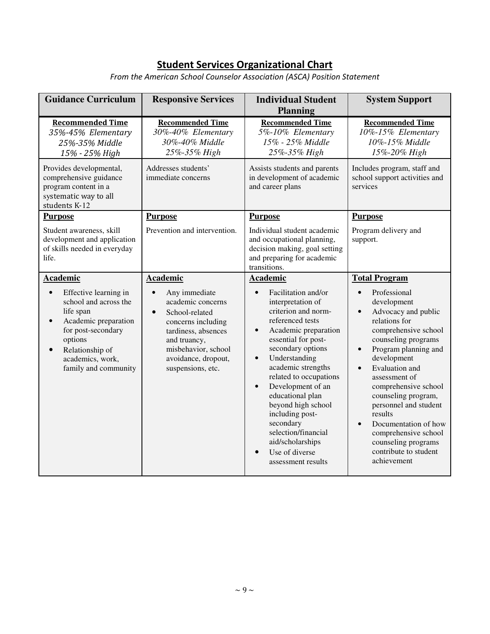### **Student Services Organizational Chart**

From the American School Counselor Association (ASCA) Position Statement

| <b>Guidance Curriculum</b>                                                                                                                                                                                                       | <b>Responsive Services</b><br><b>Individual Student</b><br><b>Planning</b>                                                                                                                                                        |                                                                                                                                                                                                                                                                                                                                                                                                                                                                                         | <b>System Support</b>                                                                                                                                                                                                                                                                                                                                                                                                                                                                   |
|----------------------------------------------------------------------------------------------------------------------------------------------------------------------------------------------------------------------------------|-----------------------------------------------------------------------------------------------------------------------------------------------------------------------------------------------------------------------------------|-----------------------------------------------------------------------------------------------------------------------------------------------------------------------------------------------------------------------------------------------------------------------------------------------------------------------------------------------------------------------------------------------------------------------------------------------------------------------------------------|-----------------------------------------------------------------------------------------------------------------------------------------------------------------------------------------------------------------------------------------------------------------------------------------------------------------------------------------------------------------------------------------------------------------------------------------------------------------------------------------|
| <b>Recommended Time</b><br>35%-45% Elementary<br>25%-35% Middle<br>15% - 25% High                                                                                                                                                | <b>Recommended Time</b><br>30%-40% Elementary<br>30%-40% Middle<br>25%-35% High                                                                                                                                                   | <b>Recommended Time</b><br>5%-10% Elementary<br>15% - 25% Middle<br>25%-35% High                                                                                                                                                                                                                                                                                                                                                                                                        | <b>Recommended Time</b><br>10%-15% Elementary<br>10%-15% Middle<br>15%-20% High                                                                                                                                                                                                                                                                                                                                                                                                         |
| Addresses students'<br>Provides developmental,<br>comprehensive guidance<br>immediate concerns<br>program content in a<br>systematic way to all<br>students K-12                                                                 |                                                                                                                                                                                                                                   | Assists students and parents<br>in development of academic<br>and career plans                                                                                                                                                                                                                                                                                                                                                                                                          | Includes program, staff and<br>school support activities and<br>services                                                                                                                                                                                                                                                                                                                                                                                                                |
| <b>Purpose</b><br>Student awareness, skill<br>development and application<br>of skills needed in everyday<br>life.                                                                                                               | <b>Purpose</b><br><b>Purpose</b><br>Prevention and intervention.<br>Individual student academic<br>and occupational planning,<br>decision making, goal setting<br>and preparing for academic<br>transitions.                      |                                                                                                                                                                                                                                                                                                                                                                                                                                                                                         | <b>Purpose</b><br>Program delivery and<br>support.                                                                                                                                                                                                                                                                                                                                                                                                                                      |
| <b>Academic</b><br>Effective learning in<br>$\bullet$<br>school and across the<br>life span<br>Academic preparation<br>for post-secondary<br>options<br>Relationship of<br>$\bullet$<br>academics, work,<br>family and community | <b>Academic</b><br>Any immediate<br>$\bullet$<br>academic concerns<br>School-related<br>$\bullet$<br>concerns including<br>tardiness, absences<br>and truancy,<br>misbehavior, school<br>avoidance, dropout,<br>suspensions, etc. | Academic<br>Facilitation and/or<br>$\bullet$<br>interpretation of<br>criterion and norm-<br>referenced tests<br>Academic preparation<br>$\bullet$<br>essential for post-<br>secondary options<br>Understanding<br>$\bullet$<br>academic strengths<br>related to occupations<br>Development of an<br>$\bullet$<br>educational plan<br>beyond high school<br>including post-<br>secondary<br>selection/financial<br>aid/scholarships<br>Use of diverse<br>$\bullet$<br>assessment results | <b>Total Program</b><br>Professional<br>$\bullet$<br>development<br>Advocacy and public<br>$\bullet$<br>relations for<br>comprehensive school<br>counseling programs<br>Program planning and<br>$\bullet$<br>development<br>Evaluation and<br>$\bullet$<br>assessment of<br>comprehensive school<br>counseling program,<br>personnel and student<br>results<br>Documentation of how<br>$\bullet$<br>comprehensive school<br>counseling programs<br>contribute to student<br>achievement |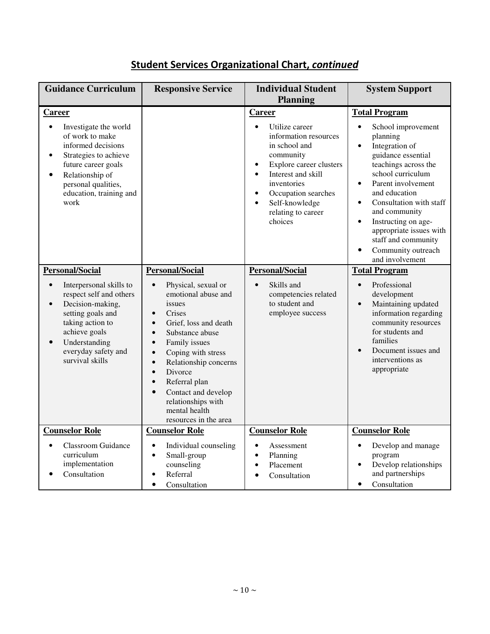### Student Services Organizational Chart, continued

| <b>Guidance Curriculum</b>                                                                                                                                                                                                         | <b>Responsive Service</b>                                                                                                                                                                                                                                                                                                                                                                                                                                 | <b>Individual Student</b><br><b>Planning</b>                                                                                                                                                                                                                                               | <b>System Support</b>                                                                                                                                                                                                                                                                                                                                                                                                          |
|------------------------------------------------------------------------------------------------------------------------------------------------------------------------------------------------------------------------------------|-----------------------------------------------------------------------------------------------------------------------------------------------------------------------------------------------------------------------------------------------------------------------------------------------------------------------------------------------------------------------------------------------------------------------------------------------------------|--------------------------------------------------------------------------------------------------------------------------------------------------------------------------------------------------------------------------------------------------------------------------------------------|--------------------------------------------------------------------------------------------------------------------------------------------------------------------------------------------------------------------------------------------------------------------------------------------------------------------------------------------------------------------------------------------------------------------------------|
| Career<br>Investigate the world<br>$\bullet$<br>of work to make<br>informed decisions<br>Strategies to achieve<br>future career goals<br>Relationship of<br>$\bullet$<br>personal qualities,<br>education, training and<br>work    |                                                                                                                                                                                                                                                                                                                                                                                                                                                           | Career<br>Utilize career<br>$\bullet$<br>information resources<br>in school and<br>community<br>Explore career clusters<br>$\bullet$<br>Interest and skill<br>$\bullet$<br>inventories<br>Occupation searches<br>$\bullet$<br>Self-knowledge<br>$\bullet$<br>relating to career<br>choices | <b>Total Program</b><br>School improvement<br>$\bullet$<br>planning<br>Integration of<br>$\bullet$<br>guidance essential<br>teachings across the<br>school curriculum<br>Parent involvement<br>$\bullet$<br>and education<br>Consultation with staff<br>$\bullet$<br>and community<br>Instructing on age-<br>$\bullet$<br>appropriate issues with<br>staff and community<br>Community outreach<br>$\bullet$<br>and involvement |
| <b>Personal/Social</b><br>Interpersonal skills to<br>respect self and others<br>Decision-making,<br>$\bullet$<br>setting goals and<br>taking action to<br>achieve goals<br>Understanding<br>everyday safety and<br>survival skills | <b>Personal/Social</b><br>Physical, sexual or<br>$\bullet$<br>emotional abuse and<br>issues<br>Crises<br>$\bullet$<br>Grief, loss and death<br>$\bullet$<br>Substance abuse<br>$\bullet$<br>Family issues<br>$\bullet$<br>Coping with stress<br>$\bullet$<br>Relationship concerns<br>$\bullet$<br>Divorce<br>$\bullet$<br>Referral plan<br>$\bullet$<br>Contact and develop<br>$\bullet$<br>relationships with<br>mental health<br>resources in the area | Personal/Social<br>Skills and<br>$\bullet$<br>competencies related<br>to student and<br>employee success                                                                                                                                                                                   | <b>Total Program</b><br>Professional<br>$\bullet$<br>development<br>Maintaining updated<br>$\bullet$<br>information regarding<br>community resources<br>for students and<br>families<br>Document issues and<br>interventions as<br>appropriate                                                                                                                                                                                 |
| <b>Counselor Role</b><br><b>Classroom Guidance</b><br>$\bullet$<br>curriculum<br>implementation<br>Consultation                                                                                                                    | <b>Counselor Role</b><br>Individual counseling<br>$\bullet$<br>Small-group<br>$\bullet$<br>counseling<br>Referral<br>Consultation<br>$\bullet$                                                                                                                                                                                                                                                                                                            | <b>Counselor Role</b><br>$\bullet$<br>Assessment<br>Planning<br>$\bullet$<br>Placement<br>$\bullet$<br>Consultation                                                                                                                                                                        | <b>Counselor Role</b><br>Develop and manage<br>$\bullet$<br>program<br>Develop relationships<br>$\bullet$<br>and partnerships<br>Consultation<br>$\bullet$                                                                                                                                                                                                                                                                     |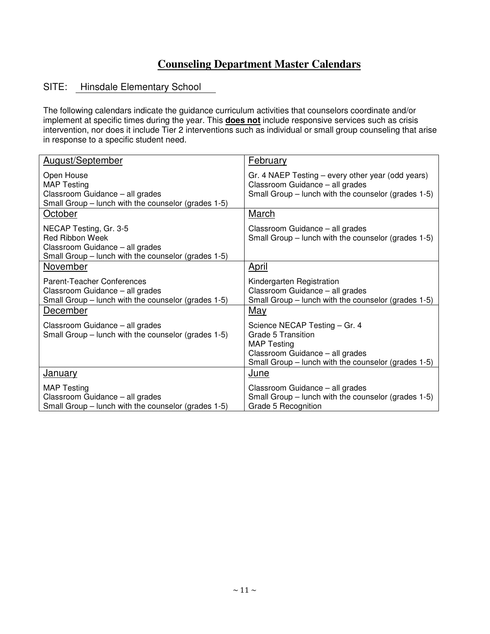### **Counseling Department Master Calendars**

### SITE: Hinsdale Elementary School

The following calendars indicate the guidance curriculum activities that counselors coordinate and/or implement at specific times during the year. This **does not** include responsive services such as crisis intervention, nor does it include Tier 2 interventions such as individual or small group counseling that arise in response to a specific student need.

| August/September                                                                                                                           | <b>February</b>                                                                                                                                                                   |
|--------------------------------------------------------------------------------------------------------------------------------------------|-----------------------------------------------------------------------------------------------------------------------------------------------------------------------------------|
| Open House<br><b>MAP Testing</b><br>Classroom Guidance - all grades<br>Small Group – lunch with the counselor (grades 1-5)                 | Gr. 4 NAEP Testing – every other year (odd years)<br>Classroom Guidance - all grades<br>Small Group - lunch with the counselor (grades 1-5)                                       |
| October                                                                                                                                    | March                                                                                                                                                                             |
| NECAP Testing, Gr. 3-5<br><b>Red Ribbon Week</b><br>Classroom Guidance - all grades<br>Small Group - lunch with the counselor (grades 1-5) | Classroom Guidance - all grades<br>Small Group – lunch with the counselor (grades 1-5)                                                                                            |
| November                                                                                                                                   | <u>April</u>                                                                                                                                                                      |
| <b>Parent-Teacher Conferences</b><br>Classroom Guidance - all grades<br>Small Group - lunch with the counselor (grades 1-5)<br>December    | Kindergarten Registration<br>Classroom Guidance - all grades<br>Small Group – lunch with the counselor (grades 1-5)                                                               |
| Classroom Guidance - all grades<br>Small Group – lunch with the counselor (grades 1-5)                                                     | <u>May</u><br>Science NECAP Testing - Gr. 4<br>Grade 5 Transition<br><b>MAP Testing</b><br>Classroom Guidance - all grades<br>Small Group - lunch with the counselor (grades 1-5) |
| <u>January</u>                                                                                                                             | <u>June</u>                                                                                                                                                                       |
| <b>MAP Testing</b><br>Classroom Guidance - all grades<br>Small Group – lunch with the counselor (grades 1-5)                               | Classroom Guidance - all grades<br>Small Group – lunch with the counselor (grades 1-5)<br>Grade 5 Recognition                                                                     |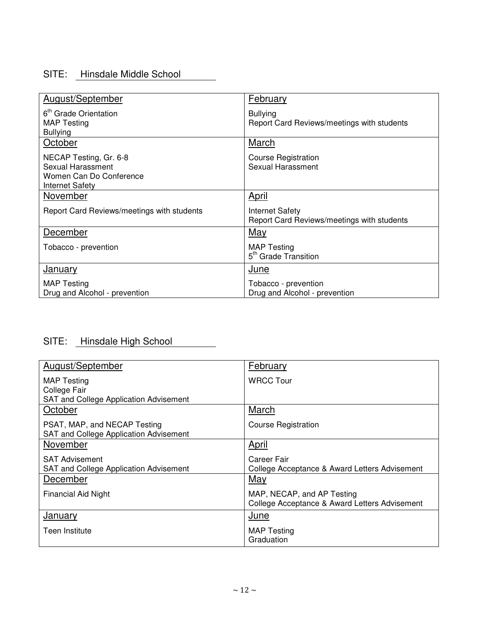### SITE: Hinsdale Middle School

| August/September                                                                                 | February                                                      |
|--------------------------------------------------------------------------------------------------|---------------------------------------------------------------|
| 6 <sup>th</sup> Grade Orientation<br><b>MAP Testing</b><br><b>Bullying</b>                       | <b>Bullying</b><br>Report Card Reviews/meetings with students |
| October                                                                                          | <b>March</b>                                                  |
| NECAP Testing, Gr. 6-8<br>Sexual Harassment<br>Women Can Do Conference<br><b>Internet Safety</b> | <b>Course Registration</b><br>Sexual Harassment               |
| November                                                                                         | <u>April</u>                                                  |
| Report Card Reviews/meetings with students                                                       | Internet Safety<br>Report Card Reviews/meetings with students |
| December                                                                                         | <b>May</b>                                                    |
| Tobacco - prevention                                                                             | <b>MAP Testing</b><br>5 <sup>th</sup> Grade Transition        |
| <b>January</b>                                                                                   | June                                                          |
| <b>MAP Testing</b><br>Drug and Alcohol - prevention                                              | Tobacco - prevention<br>Drug and Alcohol - prevention         |

# SITE: Hinsdale High School

| August/September                       | February                                      |
|----------------------------------------|-----------------------------------------------|
| <b>MAP</b> Testing                     | <b>WRCC Tour</b>                              |
| College Fair                           |                                               |
| SAT and College Application Advisement |                                               |
| October                                | March                                         |
| PSAT, MAP, and NECAP Testing           | <b>Course Registration</b>                    |
| SAT and College Application Advisement |                                               |
| November                               | April                                         |
| <b>SAT Advisement</b>                  | Career Fair                                   |
| SAT and College Application Advisement | College Acceptance & Award Letters Advisement |
| December                               | May                                           |
| Financial Aid Night                    | MAP, NECAP, and AP Testing                    |
|                                        | College Acceptance & Award Letters Advisement |
| <b>January</b>                         | J <u>une</u>                                  |
| Teen Institute                         | <b>MAP Testing</b>                            |
|                                        | Graduation                                    |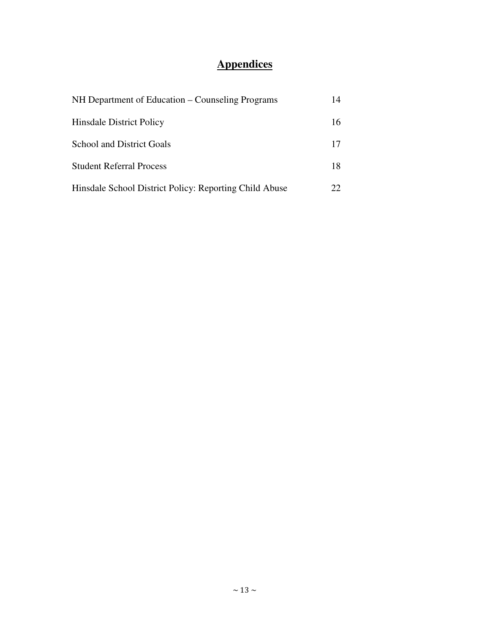# **Appendices**

| NH Department of Education – Counseling Programs       | 14 |
|--------------------------------------------------------|----|
| <b>Hinsdale District Policy</b>                        | 16 |
| <b>School and District Goals</b>                       | 17 |
| <b>Student Referral Process</b>                        | 18 |
| Hinsdale School District Policy: Reporting Child Abuse | 22 |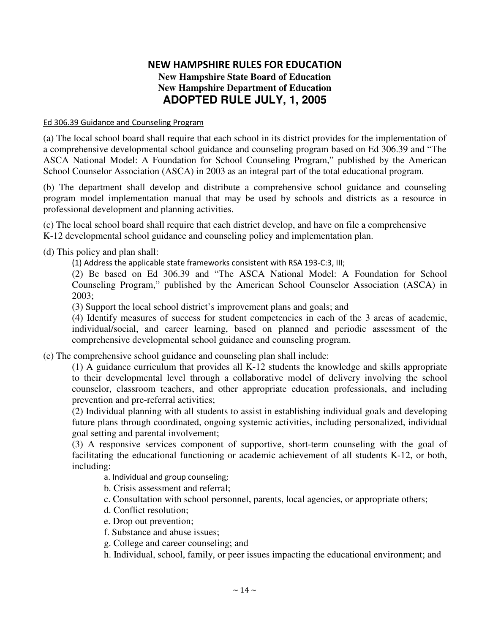### NEW HAMPSHIRE RULES FOR EDUCATION **New Hampshire State Board of Education New Hampshire Department of Education ADOPTED RULE JULY, 1, 2005**

### Ed 306.39 Guidance and Counseling Progran

(a) The local school board shall require that each school in its district provides for the implementation of a comprehensive developmental school guidance and counseling program based on Ed 306.39 and " The ASCA National Model: A Foundation for School Counseling Program," published by the American School Counselor Association (ASCA) in 2003 as an integral part of the total educational program.

(b) The department shall develop and distribute a comprehensive school guidance and counseling program model implementation manual that may be used by schools and districts as a resource in professional development and planning activities.

(c) The local school board shall require that each district develop, and have on file a comprehensive K-12 developmental school guidance and counseling policy and implementation plan.

(d) This policy and plan shall:

(1) Address the applicable state frameworks consistent with RSA 193-C:3, III;

(2) Be based on Ed 306.39 and " The ASCA National Model: A Foundation for School Counseling Program," published by the American School Counselor Association (ASCA) in 2003;

(3) Support the local school district's improvement plans and goals; and

(4) Identify measures of success for student competencies in each of the 3 areas of academic, individual/social, and career learning, based on planned and periodic assessment of the comprehensive developmental school guidance and counseling program.

(e) The comprehensive school guidance and counseling plan shall include:

(1) A guidance curriculum that provides all K-12 students the knowledge and skills appropriate to their developmental level through a collaborative model of delivery involving the school counselor, classroom teachers, and other appropriate education professionals, and including prevention and pre-referral activities;

(2) Individual planning with all students to assist in establishing individual goals and developing future plans through coordinated, ongoing systemic activities, including personalized, individual goal setting and parental involvement;

(3) A responsive services component of supportive, short-term counseling with the goal of facilitating the educational functioning or academic achievement of all students K-12, or both, including:

a. Individual and group counseling;

b. Crisis assessment and referral;

c. Consultation with school personnel, parents, local agencies, or appropriate others;

d. Conflict resolution;

- e. Drop out prevention;
- f. Substance and abuse issues;
- g. College and career counseling; and
- h. Individual, school, family, or peer issues impacting the educational environment; and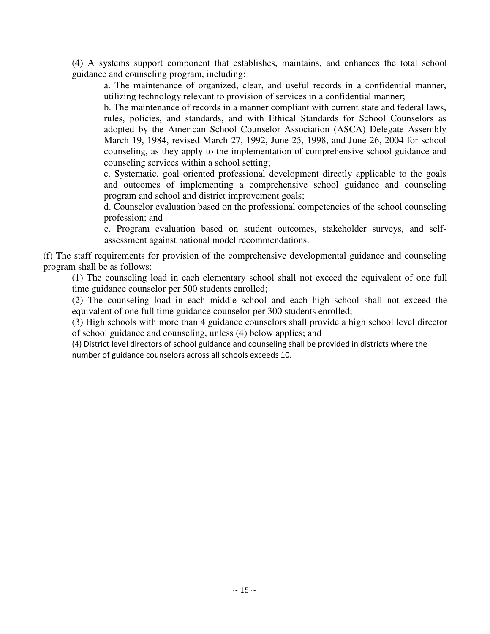(4) A systems support component that establishes, maintains, and enhances the total school guidance and counseling program, including:

a. The maintenance of organized, clear, and useful records in a confidential manner, utilizing technology relevant to provision of services in a confidential manner;

b. The maintenance of records in a manner compliant with current state and federal laws, rules, policies, and standards, and with Ethical Standards for School Counselors as adopted by the American School Counselor Association (ASCA) Delegate Assembly March 19, 1984, revised March 27, 1992, June 25, 1998, and June 26, 2004 for school counseling, as they apply to the implementation of comprehensive school guidance and counseling services within a school setting;

c. Systematic, goal oriented professional development directly applicable to the goals and outcomes of implementing a comprehensive school guidance and counseling program and school and district improvement goals;

d. Counselor evaluation based on the professional competencies of the school counseling profession; and

e. Program evaluation based on student outcomes, stakeholder surveys, and selfassessment against national model recommendations.

(f) The staff requirements for provision of the comprehensive developmental guidance and counseling program shall be as follows:

(1) The counseling load in each elementary school shall not exceed the equivalent of one full time guidance counselor per 500 students enrolled;

(2) The counseling load in each middle school and each high school shall not exceed the equivalent of one full time guidance counselor per 300 students enrolled;

(3) High schools with more than 4 guidance counselors shall provide a high school level director of school guidance and counseling, unless (4) below applies; and

(4) District level directors of school guidance and counseling shall be provided in districts where the number of guidance counselors across all schools exceeds 10.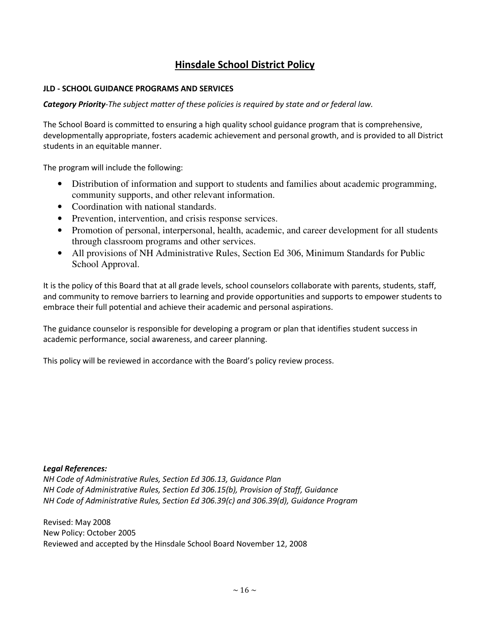### **Hinsdale School District Policy**

### **JLD - SCHOOL GUIDANCE PROGRAMS AND SERVICES**

Category Priority-The subject matter of these policies is required by state and or federal law.

The School Board is committed to ensuring a high quality school guidance program that is comprehensive, developmentally appropriate, fosters academic achievement and personal growth, and is provided to all District students in an equitable manner.

The program will include the following:

- Distribution of information and support to students and families about academic programming, community supports, and other relevant information.
- Coordination with national standards.
- Prevention, intervention, and crisis response services.
- Promotion of personal, interpersonal, health, academic, and career development for all students through classroom programs and other services.
- All provisions of NH Administrative Rules, Section Ed 306, Minimum Standards for Public School Approval.

It is the policy of this Board that at all grade levels, school counselors collaborate with parents, students, staff, and community to remove barriers to learning and provide opportunities and supports to empower students to embrace their full potential and achieve their academic and personal aspirations.

The guidance counselor is responsible for developing a program or plan that identifies student success in academic performance, social awareness, and career planning.

This policy will be reviewed in accordance with the Board's policy review process.

### **Legal References:**

NH Code of Administrative Rules, Section Ed 306.13, Guidance Plan NH Code of Administrative Rules, Section Ed 306.15(b), Provision of Staff, Guidance NH Code of Administrative Rules, Section Ed 306.39(c) and 306.39(d), Guidance Program

Revised: May 2008 New Policy: October 2005 Reviewed and accepted by the Hinsdale School Board November 12, 2008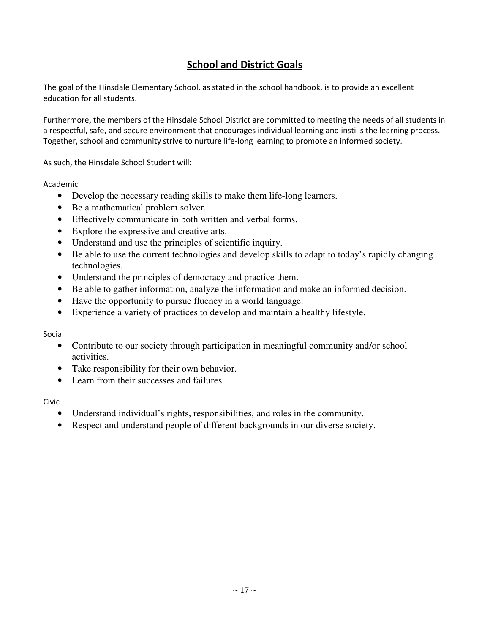### **School and District Goals**

The goal of the Hinsdale Elementary School, as stated in the school handbook, is to provide an excellent education for all students.

Furthermore, the members of the Hinsdale School District are committed to meeting the needs of all students in a respectful, safe, and secure environment that encourages individual learning and instills the learning process. Together, school and community strive to nurture life-long learning to promote an informed society.

As such, the Hinsdale School Student will:

Academic

- Develop the necessary reading skills to make them life-long learners.
- Be a mathematical problem solver.
- Effectively communicate in both written and verbal forms.
- Explore the expressive and creative arts.
- Understand and use the principles of scientific inquiry.
- Be able to use the current technologies and develop skills to adapt to today's rapidly changing technologies.
- Understand the principles of democracy and practice them.
- Be able to gather information, analyze the information and make an informed decision.
- Have the opportunity to pursue fluency in a world language.
- Experience a variety of practices to develop and maintain a healthy lifestyle.

Social

- Contribute to our society through participation in meaningful community and/or school activities.
- Take responsibility for their own behavior.
- Learn from their successes and failures.

Civic

- Understand individual's rights, responsibilities, and roles in the community.
- Respect and understand people of different backgrounds in our diverse society.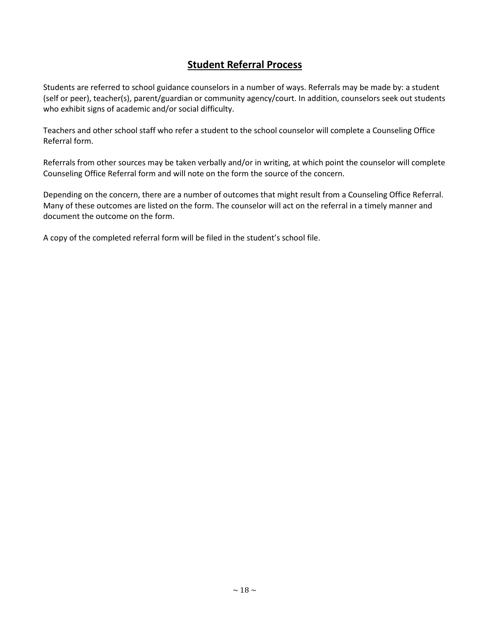### **Student Referral Process**

Students are referred to school guidance counselors in a number of ways. Referrals may be made by: a student (self or peer), teacher(s), parent/guardian or community agency/court. In addition, counselors seek out students who exhibit signs of academic and/or social difficulty.

Teachers and other school staff who refer a student to the school counselor will complete a Counseling Office Referral form.

Referrals from other sources may be taken verbally and/or in writing, at which point the counselor will complete Counseling Office Referral form and will note on the form the source of the concern.

Depending on the concern, there are a number of outcomes that might result from a Counseling Office Referral. Many of these outcomes are listed on the form. The counselor will act on the referral in a timely manner and document the outcome on the form.

A copy of the completed referral form will be filed in the student's school file.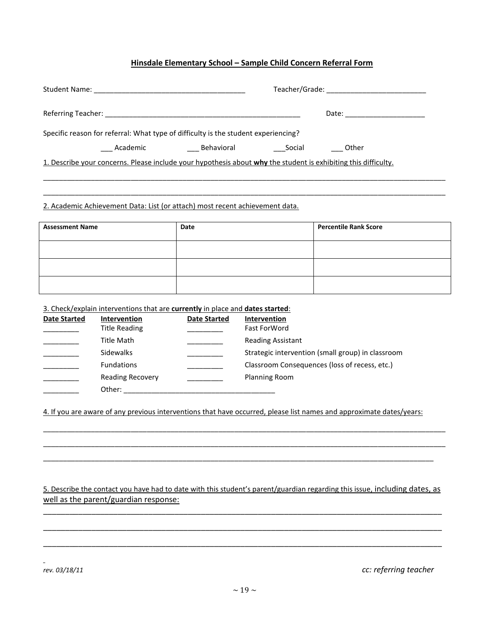### Hinsdale Elementary School - Sample Child Concern Referral Form

|                                                                                                                | Date: ___________________ |
|----------------------------------------------------------------------------------------------------------------|---------------------------|
| Specific reason for referral: What type of difficulty is the student experiencing?                             |                           |
| Behavioral<br>Academic                                                                                         | Other<br>Social           |
| 1. Describe your concerns. Please include your hypothesis about why the student is exhibiting this difficulty. |                           |

2. Academic Achievement Data: List (or attach) most recent achievement data.

| <b>Assessment Name</b> | Date | <b>Percentile Rank Score</b> |
|------------------------|------|------------------------------|
|                        |      |                              |
|                        |      |                              |
|                        |      |                              |

3. Check/explain interventions that are currently in place and dates started:

| <b>Date Started</b> | Intervention            | <b>Date Started</b> | Intervention                                      |
|---------------------|-------------------------|---------------------|---------------------------------------------------|
|                     | Title Reading           |                     | <b>Fast ForWord</b>                               |
|                     | Title Math              |                     | <b>Reading Assistant</b>                          |
|                     | <b>Sidewalks</b>        |                     | Strategic intervention (small group) in classroom |
|                     | <b>Fundations</b>       |                     | Classroom Consequences (loss of recess, etc.)     |
|                     | <b>Reading Recovery</b> |                     | <b>Planning Room</b>                              |
|                     | Other:                  |                     |                                                   |

4. If you are aware of any previous interventions that have occurred, please list names and approximate dates/years:

5. Describe the contact you have had to date with this student's parent/guardian regarding this issue, including dates, as well as the parent/guardian response:

rev. 03/18/11

cc: referring teacher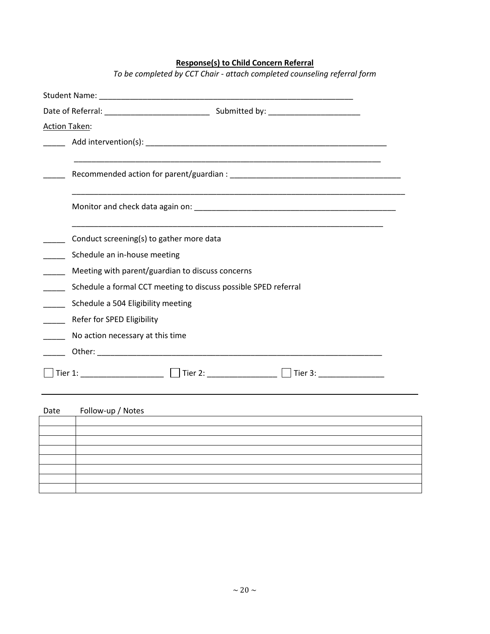### **Response(s) to Child Concern Referral**

To be completed by CCT Chair - attach completed counseling referral form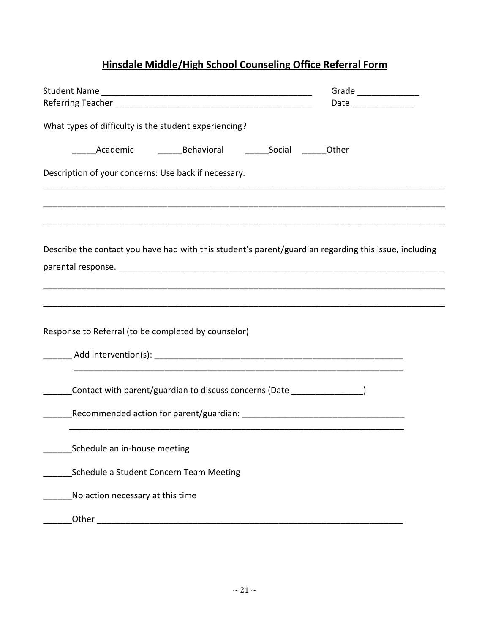# Hinsdale Middle/High School Counseling Office Referral Form

|                                                                                                       | Grade _________________<br>Date ________________ |
|-------------------------------------------------------------------------------------------------------|--------------------------------------------------|
| What types of difficulty is the student experiencing?                                                 |                                                  |
|                                                                                                       |                                                  |
| Description of your concerns: Use back if necessary.                                                  |                                                  |
|                                                                                                       |                                                  |
| Describe the contact you have had with this student's parent/guardian regarding this issue, including |                                                  |
| Response to Referral (to be completed by counselor)                                                   |                                                  |
| Contact with parent/guardian to discuss concerns (Date ________________)                              |                                                  |
| Schedule an in-house meeting                                                                          |                                                  |
| Schedule a Student Concern Team Meeting                                                               |                                                  |
| No action necessary at this time                                                                      |                                                  |
|                                                                                                       |                                                  |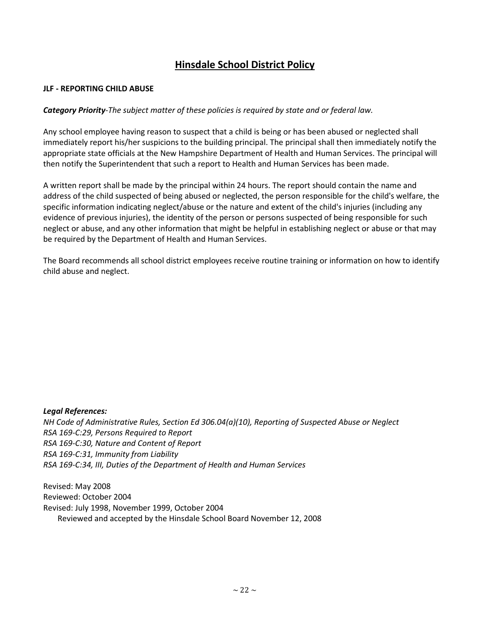### **Hinsdale School District Policy**

### **JLF - REPORTING CHILD ABUSE**

### Category Priority-The subject matter of these policies is required by state and or federal law.

Any school employee having reason to suspect that a child is being or has been abused or neglected shall immediately report his/her suspicions to the building principal. The principal shall then immediately notify the appropriate state officials at the New Hampshire Department of Health and Human Services. The principal will then notify the Superintendent that such a report to Health and Human Services has been made.

A written report shall be made by the principal within 24 hours. The report should contain the name and address of the child suspected of being abused or neglected, the person responsible for the child's welfare, the specific information indicating neglect/abuse or the nature and extent of the child's injuries (including any evidence of previous injuries), the identity of the person or persons suspected of being responsible for such neglect or abuse, and any other information that might be helpful in establishing neglect or abuse or that may be required by the Department of Health and Human Services.

The Board recommends all school district employees receive routine training or information on how to identify child abuse and neglect.

### **Legal References:**

NH Code of Administrative Rules, Section Ed 306.04(a)(10), Reporting of Suspected Abuse or Neglect RSA 169-C:29, Persons Required to Report RSA 169-C:30, Nature and Content of Report RSA 169-C:31, Immunity from Liability RSA 169-C:34, III, Duties of the Department of Health and Human Services

Revised: May 2008 Reviewed: October 2004 Revised: July 1998, November 1999, October 2004 Reviewed and accepted by the Hinsdale School Board November 12, 2008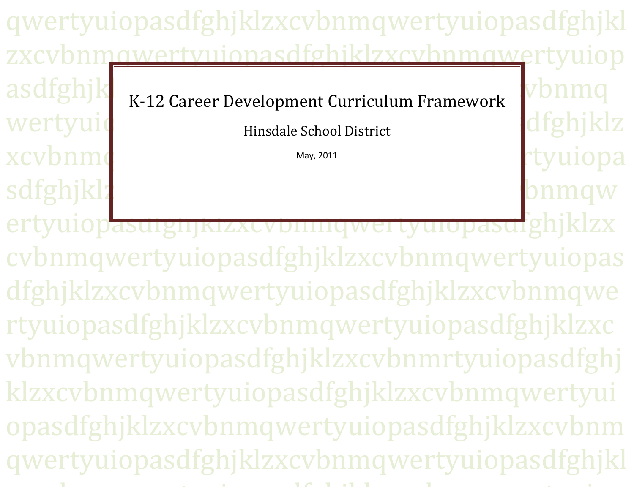qwertyuiopasdfghjklzxcvbnmqwertyuiopasdfghjkl zxcybnmawertyujonasdfghiklzxcybnmawertyujop asdfghjk vbnma K-12 Career Development Curriculum Framework dfghjklz wertyui Hinsdale School District xcvbnmo tyuiopa: May, 2011 sdfghjklz bnmqw ertyuiopasuigiijkizxcvbiingwei tyuiopasufghjklzx cybnmqwertyuiopasdfghjklzxcybnmqwertyuiopas dfghjklzxcybnmqwertyuiopasdfghjklzxcybnmqwe rtyuiopasdfghjklzxcybnmqwertyuiopasdfghjklzxc

vbnmqwertyuiopasdfghjklzxcybnmrtyuiopasdfghj klzxcybnmqwertyuiopasdfghjklzxcybnmqwertyui opasdfghjklzxcvbnmqwertyuiopasdfghjklzxcvbnm qwertyuiopasdfghjklzxcybnmqwertyuiopasdfghjkl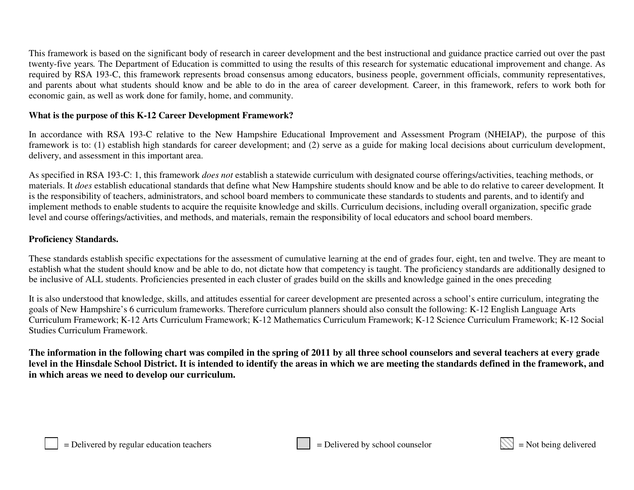This framework is based on the significant body of research in career development and the best instructional and guidance practice carried out over the pas<sup>t</sup> twenty-five years*.* The Department of Education is committed to using the results of this research for systematic educational improvement and change. As required by RSA 193-C, this framework represents broad consensus among educators, business people, governmen<sup>t</sup> officials, community representatives, and parents about what students should know and be able to do in the area of career development*.* Career, in this framework, refers to work both for economic gain, as well as work done for family, home, and community.

### **What is the purpose of this K-12 Career Development Framework?**

In accordance with RSA 193-C relative to the New Hampshire Educational Improvement and Assessment Program (NHEIAP), the purpose of this framework is to: (1) establish high standards for career development; and (2) serve as <sup>a</sup> guide for making local decisions about curriculum development, delivery, and assessment in this important area.

As specified in RSA 193-C: 1, this framework *does not* establish <sup>a</sup> statewide curriculum with designated course offerings/activities, teaching methods, or materials. It *does* establish educational standards that define what New Hampshire students should know and be able to do relative to career development*.* It is the responsibility of teachers, administrators, and school board members to communicate these standards to students and parents, and to identify and implement methods to enable students to acquire the requisite knowledge and skills. Curriculum decisions, including overall organization, specific grade level and course offerings/activities, and methods, and materials, remain the responsibility of local educators and school board members.

### **Proficiency Standards.**

These standards establish specific expectations for the assessment of cumulative learning at the end of grades four, eight, ten and twelve. They are meant to establish what the student should know and be able to do, not dictate how that competency is taught. The proficiency standards are additionally designed to be inclusive of ALL students. Proficiencies presented in each cluster of grades build on the skills and knowledge gained in the ones preceding

It is also understood that knowledge, skills, and attitudes essential for career development are presented across <sup>a</sup> school's entire curriculum, integrating the goals of New Hampshire's 6 curriculum frameworks. Therefore curriculum planners should also consult the following: K-12 English Language Arts Curriculum Framework; K-12 Arts Curriculum Framework; K-12 Mathematics Curriculum Framework; K-12 Science Curriculum Framework; K-12 Social Studies Curriculum Framework.

The information in the following chart was compiled in the spring of 2011 by all three school counselors and several teachers at every grade level in the Hinsdale School District. It is intended to identify the areas in which we are meeting the standards defined in the framework, and **in which areas we need to develop our curriculum.**

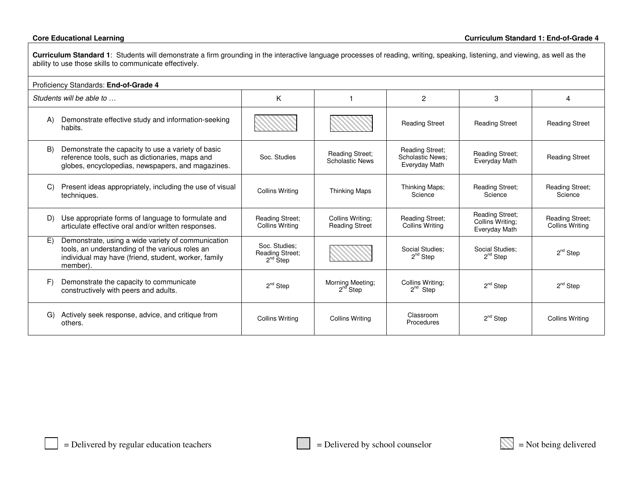**Curriculum Standard 1**: Students will demonstrate <sup>a</sup> firm grounding in the interactive language processes of reading, writing, speaking, listening, and viewing, as well as the ability to use those skills to communicate effectively.

| Proficiency Standards: End-of-Grade 4 |                                                                                                                                                                           |                                                          |                                                  |                                                                    |                                                             |                                                  |
|---------------------------------------|---------------------------------------------------------------------------------------------------------------------------------------------------------------------------|----------------------------------------------------------|--------------------------------------------------|--------------------------------------------------------------------|-------------------------------------------------------------|--------------------------------------------------|
|                                       | Students will be able to                                                                                                                                                  | K                                                        |                                                  | 2                                                                  | 3                                                           | 4                                                |
| A)                                    | Demonstrate effective study and information-seeking<br>habits.                                                                                                            |                                                          |                                                  | <b>Reading Street</b>                                              | <b>Reading Street</b>                                       | <b>Reading Street</b>                            |
| B)                                    | Demonstrate the capacity to use a variety of basic<br>reference tools, such as dictionaries, maps and<br>globes, encyclopedias, newspapers, and magazines.                | Soc. Studies                                             | <b>Reading Street:</b><br><b>Scholastic News</b> | <b>Reading Street:</b><br><b>Scholastic News:</b><br>Everyday Math | <b>Reading Street:</b><br>Everyday Math                     | <b>Reading Street</b>                            |
| C)                                    | Present ideas appropriately, including the use of visual<br>techniques.                                                                                                   | <b>Collins Writing</b>                                   | <b>Thinking Maps</b>                             | Thinking Maps;<br>Science                                          | <b>Reading Street:</b><br>Science                           | <b>Reading Street;</b><br>Science                |
| D)                                    | Use appropriate forms of language to formulate and<br>articulate effective oral and/or written responses.                                                                 | <b>Reading Street;</b><br><b>Collins Writing</b>         | Collins Writing;<br><b>Reading Street</b>        | <b>Reading Street;</b><br><b>Collins Writing</b>                   | <b>Reading Street;</b><br>Collins Writing:<br>Everyday Math | <b>Reading Street;</b><br><b>Collins Writing</b> |
| E)                                    | Demonstrate, using a wide variety of communication<br>tools, an understanding of the various roles an<br>individual may have (friend, student, worker, family<br>member). | Soc. Studies:<br><b>Reading Street;</b><br>$2^{nd}$ Step |                                                  | Social Studies:<br>$2^{nd}$ Step                                   | Social Studies:<br>$2^{nd}$ Step                            | $2^{nd}$ Step                                    |
| F)                                    | Demonstrate the capacity to communicate<br>constructively with peers and adults.                                                                                          | $2nd$ Step                                               | Morning Meeting;<br>$2^{nd}$ Step                | Collins Writing:<br>$2^{nd}$ Step                                  | $2nd$ Step                                                  | $2^{nd}$ Step                                    |
| G)                                    | Actively seek response, advice, and critique from<br>others.                                                                                                              | <b>Collins Writing</b>                                   | <b>Collins Writing</b>                           | Classroom<br>Procedures                                            | $2^{nd}$ Step                                               | <b>Collins Writing</b>                           |

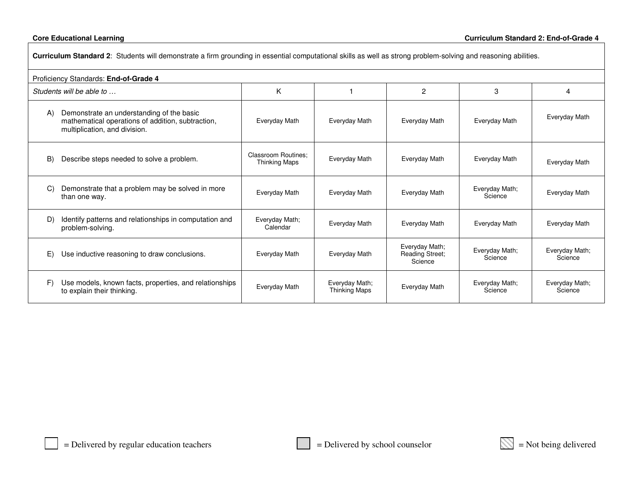| Curriculum Standard 2: Students will demonstrate a firm grounding in essential computational skills as well as strong problem-solving and reasoning abilities. |                                                    |                                        |                                              |                           |                           |  |
|----------------------------------------------------------------------------------------------------------------------------------------------------------------|----------------------------------------------------|----------------------------------------|----------------------------------------------|---------------------------|---------------------------|--|
| Proficiency Standards: End-of-Grade 4                                                                                                                          |                                                    |                                        |                                              |                           |                           |  |
| Students will be able to                                                                                                                                       | K                                                  |                                        | $\overline{2}$                               | 3                         | 4                         |  |
| Demonstrate an understanding of the basic<br>A)<br>mathematical operations of addition, subtraction,<br>multiplication, and division.                          | Everyday Math                                      | Everyday Math                          | Everyday Math                                | Everyday Math             | Everyday Math             |  |
| Describe steps needed to solve a problem.<br>B)                                                                                                                | <b>Classroom Routines:</b><br><b>Thinking Maps</b> | Everyday Math                          | Everyday Math                                | Everyday Math             | Everyday Math             |  |
| Demonstrate that a problem may be solved in more<br>C)<br>than one way.                                                                                        | Everyday Math                                      | Everyday Math                          | Everyday Math                                | Everyday Math;<br>Science | Everyday Math             |  |
| Identify patterns and relationships in computation and<br>D)<br>problem-solving.                                                                               | Everyday Math;<br>Calendar                         | Everyday Math                          | Everyday Math                                | Everyday Math             | Everyday Math             |  |
| E)<br>Use inductive reasoning to draw conclusions.                                                                                                             | Everyday Math                                      | Everyday Math                          | Everyday Math;<br>Reading Street;<br>Science | Everyday Math;<br>Science | Everyday Math;<br>Science |  |
| Use models, known facts, properties, and relationships<br>F)<br>to explain their thinking.                                                                     | Everyday Math                                      | Everyday Math;<br><b>Thinking Maps</b> | Everyday Math                                | Everyday Math;<br>Science | Everyday Math;<br>Science |  |

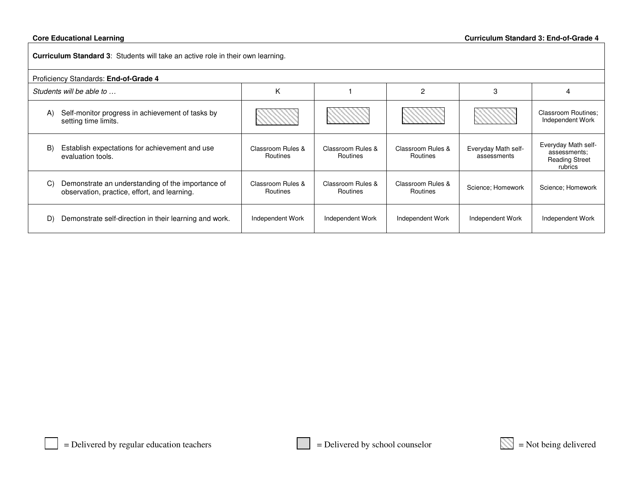|    | Curriculum Standard 3: Students will take an active role in their own learning.                   |                               |                               |                               |                                    |                                                                         |  |
|----|---------------------------------------------------------------------------------------------------|-------------------------------|-------------------------------|-------------------------------|------------------------------------|-------------------------------------------------------------------------|--|
|    | Proficiency Standards: End-of-Grade 4                                                             |                               |                               |                               |                                    |                                                                         |  |
|    | Students will be able to                                                                          | K                             |                               | 2                             | 3                                  | 4                                                                       |  |
| A) | Self-monitor progress in achievement of tasks by<br>setting time limits.                          |                               |                               |                               |                                    | <b>Classroom Routines:</b><br>Independent Work                          |  |
| B) | Establish expectations for achievement and use<br>evaluation tools.                               | Classroom Rules &<br>Routines | Classroom Rules &<br>Routines | Classroom Rules &<br>Routines | Everyday Math self-<br>assessments | Everyday Math self-<br>assessments;<br><b>Reading Street</b><br>rubrics |  |
| C) | Demonstrate an understanding of the importance of<br>observation, practice, effort, and learning. | Classroom Rules &<br>Routines | Classroom Rules &<br>Routines | Classroom Rules &<br>Routines | Science: Homework                  | Science: Homework                                                       |  |
| D) | Demonstrate self-direction in their learning and work.                                            | Independent Work              | Independent Work              | Independent Work              | Independent Work                   | Independent Work                                                        |  |

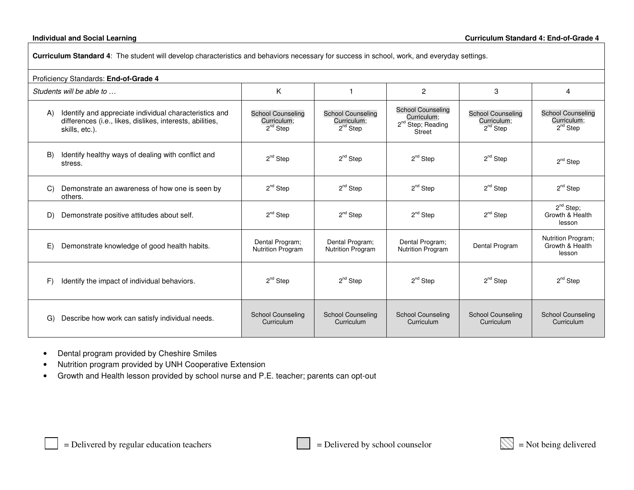#### **Individual and**

| Curriculum Standard 4: The student will develop characteristics and behaviors necessary for success in school, work, and everyday settings. |                                                                                                                                       |                                                          |                                                          |                                                                                    |                                                          |                                                          |  |
|---------------------------------------------------------------------------------------------------------------------------------------------|---------------------------------------------------------------------------------------------------------------------------------------|----------------------------------------------------------|----------------------------------------------------------|------------------------------------------------------------------------------------|----------------------------------------------------------|----------------------------------------------------------|--|
|                                                                                                                                             | Proficiency Standards: End-of-Grade 4                                                                                                 |                                                          |                                                          |                                                                                    |                                                          |                                                          |  |
|                                                                                                                                             | Students will be able to                                                                                                              | Κ                                                        |                                                          | $\overline{2}$                                                                     | 3                                                        | 4                                                        |  |
| (A)                                                                                                                                         | Identify and appreciate individual characteristics and<br>differences (i.e., likes, dislikes, interests, abilities,<br>skills, etc.). | <b>School Counseling</b><br>Curriculum:<br>$2^{nd}$ Step | <b>School Counseling</b><br>Curriculum;<br>$2^{nd}$ Step | <b>School Counseling</b><br>Curriculum:<br>2 <sup>nd</sup> Step; Reading<br>Street | <b>School Counseling</b><br>Curriculum;<br>$2^{nd}$ Step | <b>School Counseling</b><br>Curriculum:<br>$2^{nd}$ Step |  |
| $\mathbf{B}$                                                                                                                                | Identify healthy ways of dealing with conflict and<br>stress.                                                                         | $2^{nd}$ Step                                            | $2^{nd}$ Step                                            | $2^{nd}$ Step                                                                      | $2^{nd}$ Step                                            | $2^{nd}$ Step                                            |  |
| C)                                                                                                                                          | Demonstrate an awareness of how one is seen by<br>others.                                                                             | $2^{nd}$ Step                                            | $2^{nd}$ Step                                            | $2^{nd}$ Step                                                                      | $2^{nd}$ Step                                            | $2^{nd}$ Step                                            |  |
| D)                                                                                                                                          | Demonstrate positive attitudes about self.                                                                                            | $2^{nd}$ Step                                            | $2^{nd}$ Step                                            | $2^{nd}$ Step                                                                      | $2^{nd}$ Step                                            | $2^{nd}$ Step;<br>Growth & Health<br>lesson              |  |
| E)                                                                                                                                          | Demonstrate knowledge of good health habits.                                                                                          | Dental Program;<br><b>Nutrition Program</b>              | Dental Program;<br><b>Nutrition Program</b>              | Dental Program;<br><b>Nutrition Program</b>                                        | Dental Program                                           | Nutrition Program;<br>Growth & Health<br>lesson          |  |
| F)                                                                                                                                          | Identify the impact of individual behaviors.                                                                                          | $2^{nd}$ Step                                            | $2^{nd}$ Step                                            | $2^{nd}$ Step                                                                      | $2^{nd}$ Step                                            | $2^{nd}$ Step                                            |  |
| G)                                                                                                                                          | Describe how work can satisfy individual needs.                                                                                       | <b>School Counseling</b><br>Curriculum                   | <b>School Counseling</b><br>Curriculum                   | <b>School Counseling</b><br>Curriculum                                             | <b>School Counseling</b><br>Curriculum                   | <b>School Counseling</b><br>Curriculum                   |  |

- $\bullet$ Dental program provided by Cheshire Smiles
- •Nutrition program provided by UNH Cooperative Extension
- •Growth and Health lesson provided by school nurse and P.E. teacher; parents can opt-out

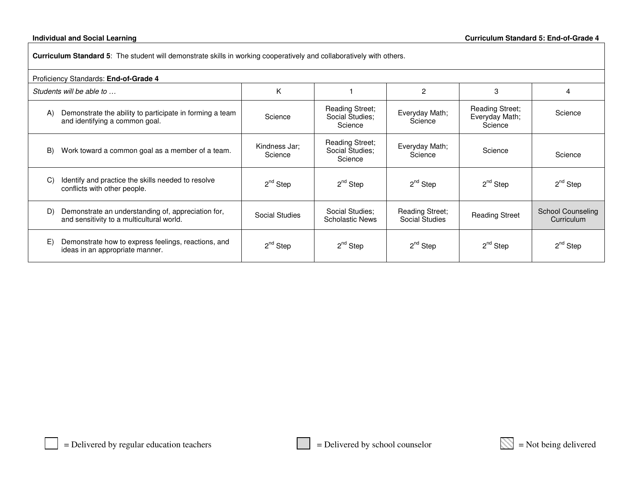#### **Individual and**

**Curriculum Standard 5**: The student will demonstrate skills in working cooperatively and collaboratively with others.

| Proficiency Standards: End-of-Grade 4                                                                      |                          |                                                      |                                   |                                                     |                                        |  |
|------------------------------------------------------------------------------------------------------------|--------------------------|------------------------------------------------------|-----------------------------------|-----------------------------------------------------|----------------------------------------|--|
| Students will be able to                                                                                   | K                        |                                                      | 2                                 | 3                                                   | 4                                      |  |
| Demonstrate the ability to participate in forming a team<br>$\mathsf{A}$<br>and identifying a common goal. | Science                  | <b>Reading Street;</b><br>Social Studies:<br>Science | Everyday Math;<br>Science         | <b>Reading Street;</b><br>Everyday Math;<br>Science | Science                                |  |
| Work toward a common goal as a member of a team.<br>B)                                                     | Kindness Jar:<br>Science | <b>Reading Street;</b><br>Social Studies;<br>Science | Everyday Math;<br>Science         | Science                                             | Science                                |  |
| Identify and practice the skills needed to resolve<br>C)<br>conflicts with other people.                   | $2^{nd}$ Step            | $2^{nd}$ Step                                        | $2^{nd}$ Step                     | $2^{nd}$ Step                                       | $2^{nd}$ Step                          |  |
| Demonstrate an understanding of, appreciation for,<br>D)<br>and sensitivity to a multicultural world.      | <b>Social Studies</b>    | Social Studies:<br><b>Scholastic News</b>            | Reading Street;<br>Social Studies | <b>Reading Street</b>                               | <b>School Counseling</b><br>Curriculum |  |
| E)<br>Demonstrate how to express feelings, reactions, and<br>ideas in an appropriate manner.               | $2^{nd}$ Step            | $2^{nd}$ Step                                        | 2 <sup>nd</sup> Step              | $2^{nd}$ Step                                       | $2^{nd}$ Step                          |  |

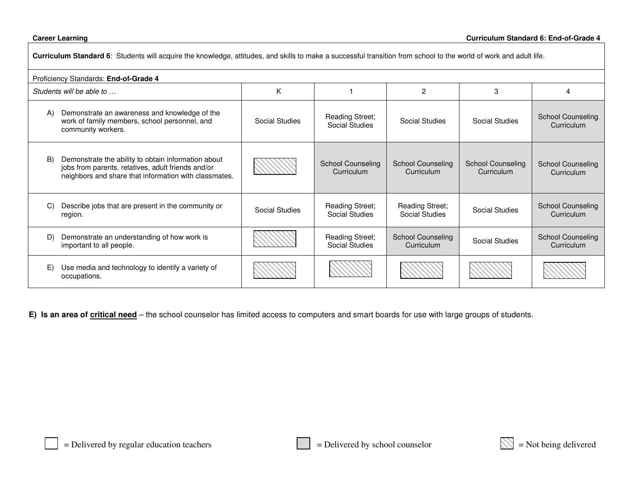### **Career** Learning

Г

| Curriculum Standard 6: Students will acquire the knowledge, attitudes, and skills to make a successful transition from school to the world of work and adult life. |                                                                                                                                                                    |                       |                                          |                                        |                                        |                                        |  |
|--------------------------------------------------------------------------------------------------------------------------------------------------------------------|--------------------------------------------------------------------------------------------------------------------------------------------------------------------|-----------------------|------------------------------------------|----------------------------------------|----------------------------------------|----------------------------------------|--|
| Proficiency Standards: End-of-Grade 4                                                                                                                              |                                                                                                                                                                    |                       |                                          |                                        |                                        |                                        |  |
|                                                                                                                                                                    | Students will be able to                                                                                                                                           | K                     |                                          | $\overline{2}$                         | 3                                      | 4                                      |  |
| $\mathsf{A}$                                                                                                                                                       | Demonstrate an awareness and knowledge of the<br>work of family members, school personnel, and<br>community workers.                                               | Social Studies        | <b>Reading Street;</b><br>Social Studies | Social Studies                         | Social Studies                         | <b>School Counseling</b><br>Curriculum |  |
| B)                                                                                                                                                                 | Demonstrate the ability to obtain information about<br>jobs from parents, relatives, adult friends and/or<br>neighbors and share that information with classmates. |                       | <b>School Counseling</b><br>Curriculum   | <b>School Counseling</b><br>Curriculum | <b>School Counseling</b><br>Curriculum | <b>School Counseling</b><br>Curriculum |  |
| C)                                                                                                                                                                 | Describe jobs that are present in the community or<br>region.                                                                                                      | <b>Social Studies</b> | <b>Reading Street;</b><br>Social Studies | Reading Street;<br>Social Studies      | Social Studies                         | <b>School Counseling</b><br>Curriculum |  |
| D)                                                                                                                                                                 | Demonstrate an understanding of how work is<br>important to all people.                                                                                            |                       | <b>Reading Street;</b><br>Social Studies | <b>School Counseling</b><br>Curriculum | Social Studies                         | <b>School Counseling</b><br>Curriculum |  |
| E)                                                                                                                                                                 | Use media and technology to identify a variety of<br>occupations.                                                                                                  |                       |                                          |                                        |                                        |                                        |  |

**E) Is an area of critical need** – the school counselor has limited access to computers and smart boards for use with large groups of students.

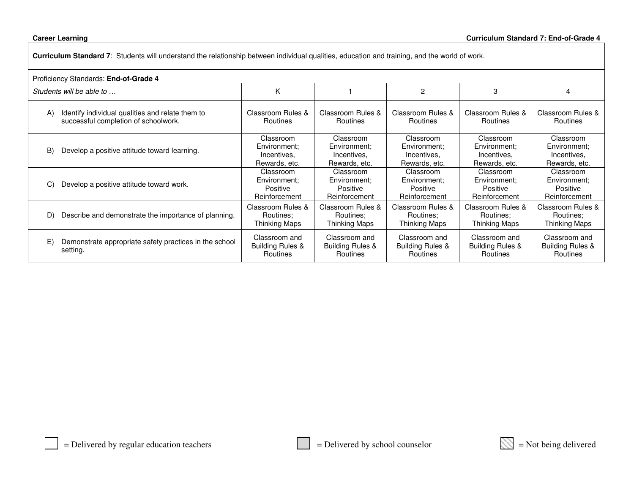### **Career Learning**

**Curriculum Standard 7**: Students will understand the relationship between individual qualities, education and training, and the world of work.

| Proficiency Standards: End-of-Grade 4                                                          |                                                           |                                                               |                                                           |                                                           |                                                           |
|------------------------------------------------------------------------------------------------|-----------------------------------------------------------|---------------------------------------------------------------|-----------------------------------------------------------|-----------------------------------------------------------|-----------------------------------------------------------|
| Students will be able to                                                                       | K                                                         |                                                               | $\overline{2}$                                            | 3                                                         | 4                                                         |
| Identify individual qualities and relate them to<br>A)<br>successful completion of schoolwork. | Classroom Rules &<br>Routines                             | Classroom Rules &<br><b>Routines</b>                          | Classroom Rules &<br>Routines                             | Classroom Rules &<br><b>Routines</b>                      | Classroom Rules &<br>Routines                             |
| Develop a positive attitude toward learning.<br>B)                                             | Classroom<br>Environment:<br>Incentives.<br>Rewards, etc. | Classroom<br>Environment:<br>Incentives.<br>Rewards, etc.     | Classroom<br>Environment:<br>Incentives,<br>Rewards, etc. | Classroom<br>Environment:<br>Incentives,<br>Rewards, etc. | Classroom<br>Environment:<br>Incentives.<br>Rewards, etc. |
| Develop a positive attitude toward work.<br>C)                                                 | Classroom<br>Environment:<br>Positive<br>Reinforcement    | Classroom<br>Environment:<br><b>Positive</b><br>Reinforcement | Classroom<br>Environment:<br>Positive<br>Reinforcement    | Classroom<br>Environment:<br>Positive<br>Reinforcement    | Classroom<br>Environment:<br>Positive<br>Reinforcement    |
| Describe and demonstrate the importance of planning.<br>D)                                     | Classroom Rules &<br>Routines;<br>Thinking Maps           | Classroom Rules &<br>Routines:<br>Thinking Maps               | Classroom Rules &<br>Routines:<br>Thinking Maps           | Classroom Rules &<br>Routines:<br>Thinking Maps           | Classroom Rules &<br>Routines:<br><b>Thinking Maps</b>    |
| E)<br>Demonstrate appropriate safety practices in the school<br>setting.                       | Classroom and<br><b>Building Rules &amp;</b><br>Routines  | Classroom and<br>Building Rules &<br>Routines                 | Classroom and<br><b>Building Rules &amp;</b><br>Routines  | Classroom and<br><b>Building Rules &amp;</b><br>Routines  | Classroom and<br><b>Building Rules &amp;</b><br>Routines  |

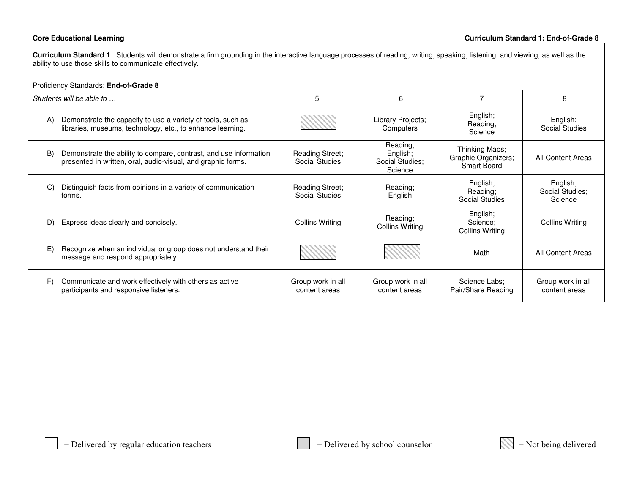**Curriculum Standard 1**: Students will demonstrate <sup>a</sup> firm grounding in the interactive language processes of reading, writing, speaking, listening, and viewing, as well as the ability to use those skills to communicate effectively.

| Proficiency Standards: End-of-Grade 8                                                                                                   |                                    |                                                    |                                                             |                                        |  |  |
|-----------------------------------------------------------------------------------------------------------------------------------------|------------------------------------|----------------------------------------------------|-------------------------------------------------------------|----------------------------------------|--|--|
| Students will be able to                                                                                                                | 5                                  | 6                                                  | 7                                                           | 8                                      |  |  |
| Demonstrate the capacity to use a variety of tools, such as<br>A)<br>libraries, museums, technology, etc., to enhance learning.         |                                    | Library Projects;<br>Computers                     | English;<br>Reading;<br>Science                             | English;<br><b>Social Studies</b>      |  |  |
| Demonstrate the ability to compare, contrast, and use information<br>B)<br>presented in written, oral, audio-visual, and graphic forms. | Reading Street;<br>Social Studies  | Reading;<br>English;<br>Social Studies;<br>Science | Thinking Maps;<br>Graphic Organizers;<br><b>Smart Board</b> | All Content Areas                      |  |  |
| Distinguish facts from opinions in a variety of communication<br>C)<br>forms.                                                           | Reading Street;<br>Social Studies  | Reading;<br>English                                | English;<br>Reading;<br>Social Studies                      | English;<br>Social Studies;<br>Science |  |  |
| Express ideas clearly and concisely.<br>D)                                                                                              | <b>Collins Writing</b>             | Reading;<br>Collins Writing                        | English;<br>Science;<br>Collins Writing                     | <b>Collins Writing</b>                 |  |  |
| Recognize when an individual or group does not understand their<br>E)<br>message and respond appropriately.                             |                                    |                                                    | Math                                                        | All Content Areas                      |  |  |
| Communicate and work effectively with others as active<br>F)<br>participants and responsive listeners.                                  | Group work in all<br>content areas | Group work in all<br>content areas                 | Science Labs:<br>Pair/Share Reading                         | Group work in all<br>content areas     |  |  |

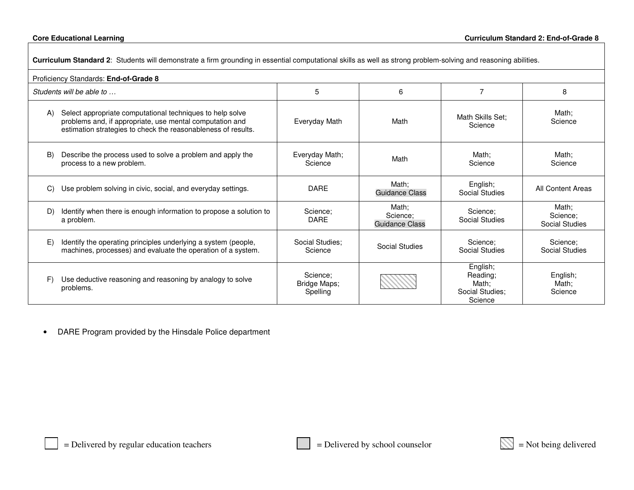| Curriculum Standard 2: Students will demonstrate a firm grounding in essential computational skills as well as strong problem-solving and reasoning abilities.                               |                                      |                                     |                                                             |                                     |  |  |
|----------------------------------------------------------------------------------------------------------------------------------------------------------------------------------------------|--------------------------------------|-------------------------------------|-------------------------------------------------------------|-------------------------------------|--|--|
| Proficiency Standards: End-of-Grade 8                                                                                                                                                        |                                      |                                     |                                                             |                                     |  |  |
| Students will be able to                                                                                                                                                                     | 5                                    | 6                                   | 7                                                           | 8                                   |  |  |
| Select appropriate computational techniques to help solve<br>A)<br>problems and, if appropriate, use mental computation and<br>estimation strategies to check the reasonableness of results. | Everyday Math                        | Math                                | Math Skills Set:<br>Science                                 | Math;<br>Science                    |  |  |
| $\mathbf{B}$<br>Describe the process used to solve a problem and apply the<br>process to a new problem.                                                                                      | Everyday Math;<br>Science            | Math                                | Math:<br>Science                                            | Math;<br>Science                    |  |  |
| Use problem solving in civic, social, and everyday settings.<br>C)                                                                                                                           | <b>DARE</b>                          | Math:<br>Guidance Class             | English;<br><b>Social Studies</b>                           | All Content Areas                   |  |  |
| D)<br>Identify when there is enough information to propose a solution to<br>a problem.                                                                                                       | Science:<br><b>DARE</b>              | Math:<br>Science:<br>Guidance Class | Science:<br>Social Studies                                  | Math;<br>Science:<br>Social Studies |  |  |
| E)<br>Identify the operating principles underlying a system (people,<br>machines, processes) and evaluate the operation of a system.                                                         | Social Studies:<br>Science           | Social Studies                      | Science;<br>Social Studies                                  | Science:<br>Social Studies          |  |  |
| Use deductive reasoning and reasoning by analogy to solve<br>F<br>problems.                                                                                                                  | Science:<br>Bridge Maps;<br>Spelling |                                     | English;<br>Reading:<br>Math;<br>Social Studies:<br>Science | English;<br>Math;<br>Science        |  |  |

•DARE Program provided by the Hinsdale Police department

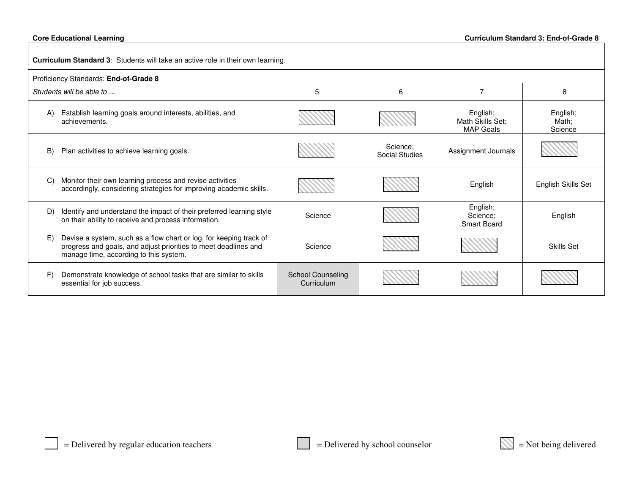| Curriculum Standard 3: Students will take an active role in their own learning.                                                                                                       |                                        |                            |                                                  |                              |  |  |  |
|---------------------------------------------------------------------------------------------------------------------------------------------------------------------------------------|----------------------------------------|----------------------------|--------------------------------------------------|------------------------------|--|--|--|
| Proficiency Standards: End-of-Grade 8                                                                                                                                                 |                                        |                            |                                                  |                              |  |  |  |
| Students will be able to                                                                                                                                                              | 5                                      | 6                          |                                                  | 8                            |  |  |  |
| Establish learning goals around interests, abilities, and<br>A)<br>achievements.                                                                                                      |                                        |                            | English;<br>Math Skills Set;<br><b>MAP Goals</b> | English;<br>Math;<br>Science |  |  |  |
| Plan activities to achieve learning goals.<br>B)                                                                                                                                      |                                        | Science:<br>Social Studies | Assignment Journals                              |                              |  |  |  |
| Monitor their own learning process and revise activities<br>$\mathcal{C}$<br>accordingly, considering strategies for improving academic skills.                                       |                                        |                            | English                                          | English Skills Set           |  |  |  |
| Identify and understand the impact of their preferred learning style<br>D)<br>on their ability to receive and process information.                                                    | Science                                |                            | English;<br>Science:<br><b>Smart Board</b>       | English                      |  |  |  |
| Devise a system, such as a flow chart or log, for keeping track of<br>E)<br>progress and goals, and adjust priorities to meet deadlines and<br>manage time, according to this system. | Science                                |                            |                                                  | <b>Skills Set</b>            |  |  |  |
| Demonstrate knowledge of school tasks that are similar to skills<br>F)<br>essential for job success.                                                                                  | <b>School Counseling</b><br>Curriculum |                            |                                                  |                              |  |  |  |

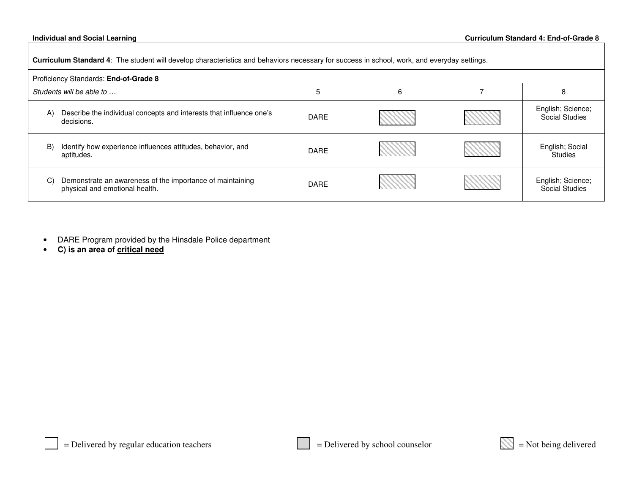#### **Individual and**

**Curriculum Standard 4**: The student will develop characteristics and behaviors necessary for success in school, work, and everyday settings.

| Proficiency Standards: End-of-Grade 8                                                             |             |   |  |                                            |
|---------------------------------------------------------------------------------------------------|-------------|---|--|--------------------------------------------|
| Students will be able to                                                                          |             | 6 |  | 8                                          |
| Describe the individual concepts and interests that influence one's<br>A)<br>decisions.           | <b>DARE</b> |   |  | English; Science;<br><b>Social Studies</b> |
| Identify how experience influences attitudes, behavior, and<br>B)<br>aptitudes.                   | <b>DARE</b> |   |  | English; Social<br><b>Studies</b>          |
| Demonstrate an awareness of the importance of maintaining<br>C)<br>physical and emotional health. | <b>DARE</b> |   |  | English; Science;<br>Social Studies        |

- •DARE Program provided by the Hinsdale Police department
- •**C) is an area of critical need**

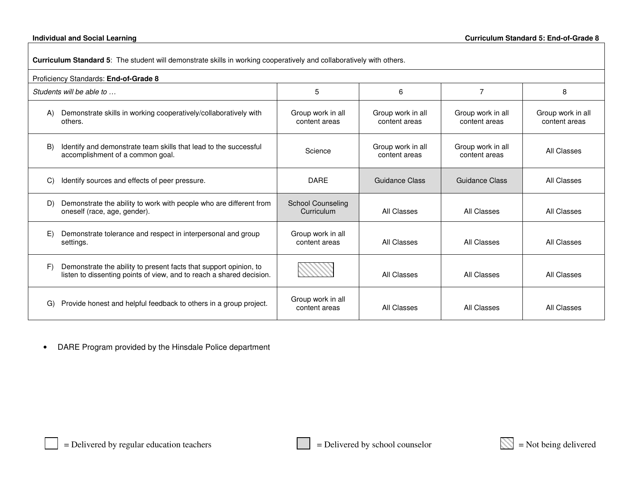**Curriculum Standard 5**: The student will demonstrate skills in working cooperatively and collaboratively with others.

| Proficiency Standards: End-of-Grade 8                |                                                                                                                                           |                                        |                                    |                                    |                                    |
|------------------------------------------------------|-------------------------------------------------------------------------------------------------------------------------------------------|----------------------------------------|------------------------------------|------------------------------------|------------------------------------|
| Students will be able to<br>5<br>7<br>6              |                                                                                                                                           |                                        |                                    | 8                                  |                                    |
| A)<br>others.                                        | Demonstrate skills in working cooperatively/collaboratively with                                                                          | Group work in all<br>content areas     | Group work in all<br>content areas | Group work in all<br>content areas | Group work in all<br>content areas |
| B)<br>accomplishment of a common goal.               | Identify and demonstrate team skills that lead to the successful                                                                          | Science                                | Group work in all<br>content areas | Group work in all<br>content areas | All Classes                        |
| C)<br>Identify sources and effects of peer pressure. |                                                                                                                                           | <b>DARE</b>                            | <b>Guidance Class</b>              | <b>Guidance Class</b>              | All Classes                        |
| D)<br>oneself (race, age, gender).                   | Demonstrate the ability to work with people who are different from                                                                        | <b>School Counseling</b><br>Curriculum | All Classes                        | All Classes                        | All Classes                        |
| E)<br>settings.                                      | Demonstrate tolerance and respect in interpersonal and group                                                                              | Group work in all<br>content areas     | All Classes                        | All Classes                        | All Classes                        |
| F)                                                   | Demonstrate the ability to present facts that support opinion, to<br>listen to dissenting points of view, and to reach a shared decision. |                                        | All Classes                        | All Classes                        | All Classes                        |
| G)                                                   | Provide honest and helpful feedback to others in a group project.                                                                         | Group work in all<br>content areas     | All Classes                        | All Classes                        | All Classes                        |

•DARE Program provided by the Hinsdale Police department

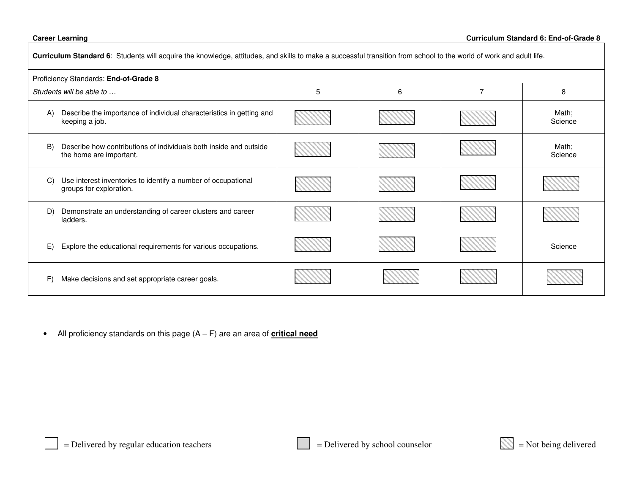### **Career**

Г

| Curriculum Standard 6: Students will acquire the knowledge, attitudes, and skills to make a successful transition from school to the world of work and adult life. |   |   |   |                  |
|--------------------------------------------------------------------------------------------------------------------------------------------------------------------|---|---|---|------------------|
| Proficiency Standards: End-of-Grade 8                                                                                                                              |   |   |   |                  |
| Students will be able to                                                                                                                                           | 5 | 6 | 7 | 8                |
| Describe the importance of individual characteristics in getting and<br>A)<br>keeping a job.                                                                       |   |   |   | Math;<br>Science |
| B)<br>Describe how contributions of individuals both inside and outside<br>the home are important.                                                                 |   |   |   | Math;<br>Science |
| Use interest inventories to identify a number of occupational<br>C)<br>groups for exploration.                                                                     |   |   |   |                  |
| Demonstrate an understanding of career clusters and career<br>D)<br>ladders.                                                                                       |   |   |   |                  |
| Explore the educational requirements for various occupations.<br>E)                                                                                                |   |   |   | Science          |
| F)<br>Make decisions and set appropriate career goals.                                                                                                             |   |   |   |                  |

• All proficiency standards on this page (A – F) are an area of **critical need**

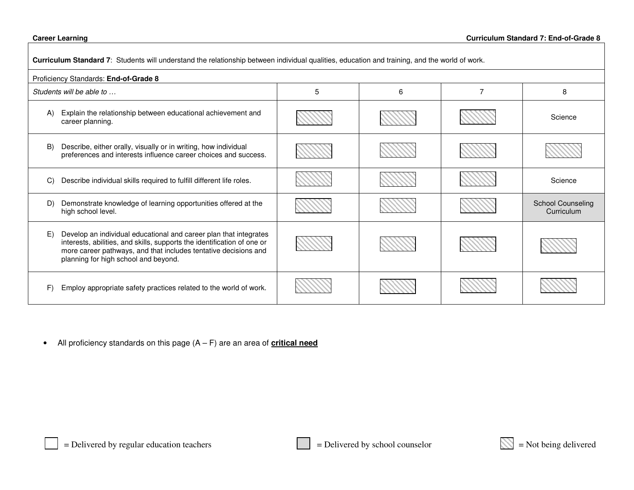### **Career**

| Curriculum Standard 7: Students will understand the relationship between individual qualities, education and training, and the world of work.                                                                                                                 |   |   |   |                                        |
|---------------------------------------------------------------------------------------------------------------------------------------------------------------------------------------------------------------------------------------------------------------|---|---|---|----------------------------------------|
| Proficiency Standards: End-of-Grade 8                                                                                                                                                                                                                         |   |   |   |                                        |
| Students will be able to                                                                                                                                                                                                                                      | 5 | 6 | 7 | 8                                      |
| Explain the relationship between educational achievement and<br>A)<br>career planning.                                                                                                                                                                        |   |   |   | Science                                |
| B)<br>Describe, either orally, visually or in writing, how individual<br>preferences and interests influence career choices and success.                                                                                                                      |   |   |   |                                        |
| Describe individual skills required to fulfill different life roles.<br>C)                                                                                                                                                                                    |   |   |   | Science                                |
| D)<br>Demonstrate knowledge of learning opportunities offered at the<br>high school level.                                                                                                                                                                    |   |   |   | <b>School Counseling</b><br>Curriculum |
| Develop an individual educational and career plan that integrates<br>E)<br>interests, abilities, and skills, supports the identification of one or<br>more career pathways, and that includes tentative decisions and<br>planning for high school and beyond. |   |   |   |                                        |
| F<br>Employ appropriate safety practices related to the world of work.                                                                                                                                                                                        |   |   |   |                                        |

• All proficiency standards on this page (A – F) are an area of **critical need**

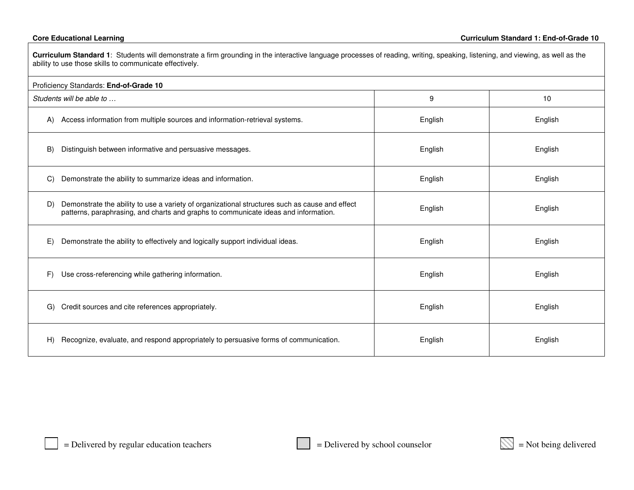| Curriculum Standard 1: Students will demonstrate a firm grounding in the interactive language processes of reading, writing, speaking, listening, and viewing, as well as the<br>ability to use those skills to communicate effectively. |         |         |  |
|------------------------------------------------------------------------------------------------------------------------------------------------------------------------------------------------------------------------------------------|---------|---------|--|
| Proficiency Standards: End-of-Grade 10                                                                                                                                                                                                   |         |         |  |
| Students will be able to                                                                                                                                                                                                                 | 9       | 10      |  |
| Access information from multiple sources and information-retrieval systems.<br>A)                                                                                                                                                        | English | English |  |
| B)<br>Distinguish between informative and persuasive messages.                                                                                                                                                                           | English | English |  |
| Demonstrate the ability to summarize ideas and information.<br>C)                                                                                                                                                                        | English | English |  |
| Demonstrate the ability to use a variety of organizational structures such as cause and effect<br>D)<br>patterns, paraphrasing, and charts and graphs to communicate ideas and information.                                              | English | English |  |
| Demonstrate the ability to effectively and logically support individual ideas.<br>E)                                                                                                                                                     | English | English |  |
| F)<br>Use cross-referencing while gathering information.                                                                                                                                                                                 | English | English |  |
| Credit sources and cite references appropriately.<br>G)                                                                                                                                                                                  | English | English |  |
| Recognize, evaluate, and respond appropriately to persuasive forms of communication.<br>H)                                                                                                                                               | English | English |  |

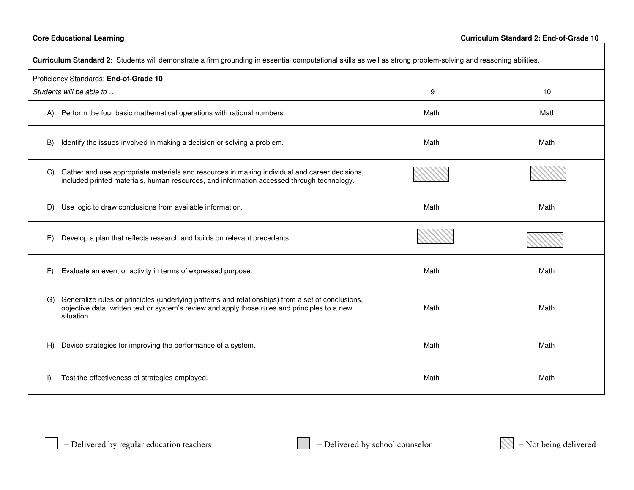| Curriculum Standard 2: Students will demonstrate a firm grounding in essential computational skills as well as strong problem-solving and reasoning abilities.                                                         |      |      |  |
|------------------------------------------------------------------------------------------------------------------------------------------------------------------------------------------------------------------------|------|------|--|
| Proficiency Standards: End-of-Grade 10                                                                                                                                                                                 |      |      |  |
| Students will be able to                                                                                                                                                                                               | 9    | 10   |  |
| Perform the four basic mathematical operations with rational numbers.<br>A)                                                                                                                                            | Math | Math |  |
| Identify the issues involved in making a decision or solving a problem.<br>B)                                                                                                                                          | Math | Math |  |
| Gather and use appropriate materials and resources in making individual and career decisions,<br>C)<br>included printed materials, human resources, and information accessed through technology.                       |      |      |  |
| Use logic to draw conclusions from available information.<br>D)                                                                                                                                                        | Math | Math |  |
| Develop a plan that reflects research and builds on relevant precedents.<br>E)                                                                                                                                         |      |      |  |
| Evaluate an event or activity in terms of expressed purpose.<br>F)                                                                                                                                                     | Math | Math |  |
| Generalize rules or principles (underlying patterns and relationships) from a set of conclusions,<br>G)<br>objective data, written text or system's review and apply those rules and principles to a new<br>situation. | Math | Math |  |
| Devise strategies for improving the performance of a system.<br>H)                                                                                                                                                     | Math | Math |  |
| Test the effectiveness of strategies employed.<br>$\mathsf{I}$                                                                                                                                                         | Math | Math |  |

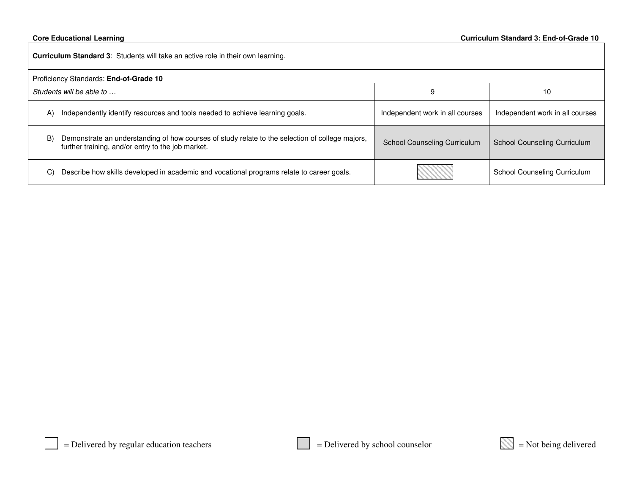| <b>Curriculum Standard 3:</b> Students will take an active role in their own learning. |                                                                                                                                                      |                                 |                                     |
|----------------------------------------------------------------------------------------|------------------------------------------------------------------------------------------------------------------------------------------------------|---------------------------------|-------------------------------------|
|                                                                                        | Proficiency Standards: End-of-Grade 10                                                                                                               |                                 |                                     |
| Students will be able to                                                               |                                                                                                                                                      | 9                               | 10                                  |
| A)                                                                                     | Independently identify resources and tools needed to achieve learning goals.                                                                         | Independent work in all courses | Independent work in all courses     |
| B)                                                                                     | Demonstrate an understanding of how courses of study relate to the selection of college majors,<br>further training, and/or entry to the job market. | School Counseling Curriculum    | <b>School Counseling Curriculum</b> |
| C)                                                                                     | Describe how skills developed in academic and vocational programs relate to career goals.                                                            |                                 | School Counseling Curriculum        |

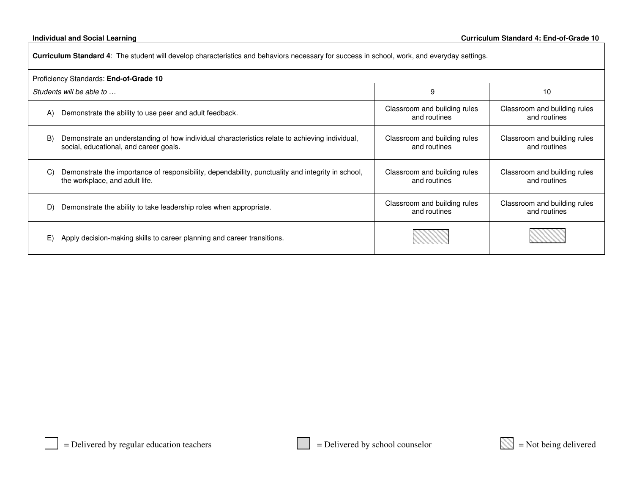| Curriculum Standard 4: The student will develop characteristics and behaviors necessary for success in school, work, and everyday settings.    |                                              |                                              |  |
|------------------------------------------------------------------------------------------------------------------------------------------------|----------------------------------------------|----------------------------------------------|--|
| Proficiency Standards: End-of-Grade 10                                                                                                         |                                              |                                              |  |
| Students will be able to                                                                                                                       | 9                                            | 10                                           |  |
| Demonstrate the ability to use peer and adult feedback.<br>A)                                                                                  | Classroom and building rules<br>and routines | Classroom and building rules<br>and routines |  |
| Demonstrate an understanding of how individual characteristics relate to achieving individual,<br>B)<br>social, educational, and career goals. | Classroom and building rules<br>and routines | Classroom and building rules<br>and routines |  |
| Demonstrate the importance of responsibility, dependability, punctuality and integrity in school,<br>C)<br>the workplace, and adult life.      | Classroom and building rules<br>and routines | Classroom and building rules<br>and routines |  |
| Demonstrate the ability to take leadership roles when appropriate.<br>D)                                                                       | Classroom and building rules<br>and routines | Classroom and building rules<br>and routines |  |
| Apply decision-making skills to career planning and career transitions.<br>E)                                                                  |                                              |                                              |  |

$$
\mathbb{N} =
$$
Not being delivered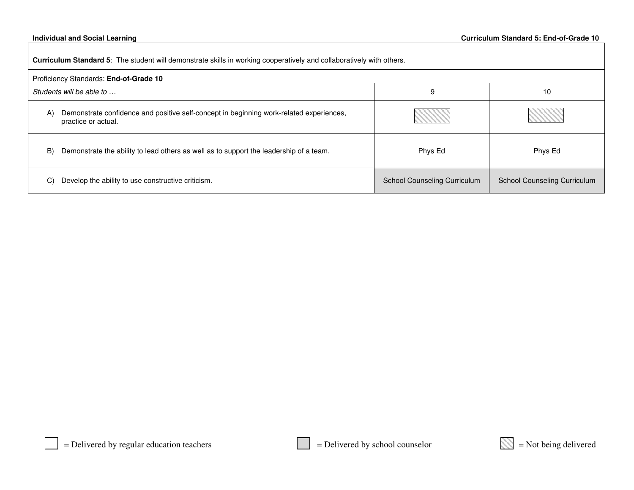#### **Individual and**

|              | Curriculum Standard 5: The student will demonstrate skills in working cooperatively and collaboratively with others. |                                     |                              |  |
|--------------|----------------------------------------------------------------------------------------------------------------------|-------------------------------------|------------------------------|--|
|              | Proficiency Standards: End-of-Grade 10                                                                               |                                     |                              |  |
|              | Students will be able to                                                                                             | 9                                   | 10                           |  |
| $\mathsf{A}$ | Demonstrate confidence and positive self-concept in beginning work-related experiences,<br>practice or actual.       |                                     |                              |  |
| B)           | Demonstrate the ability to lead others as well as to support the leadership of a team.                               | Phys Ed                             | Phys Ed                      |  |
| C)           | Develop the ability to use constructive criticism.                                                                   | <b>School Counseling Curriculum</b> | School Counseling Curriculum |  |

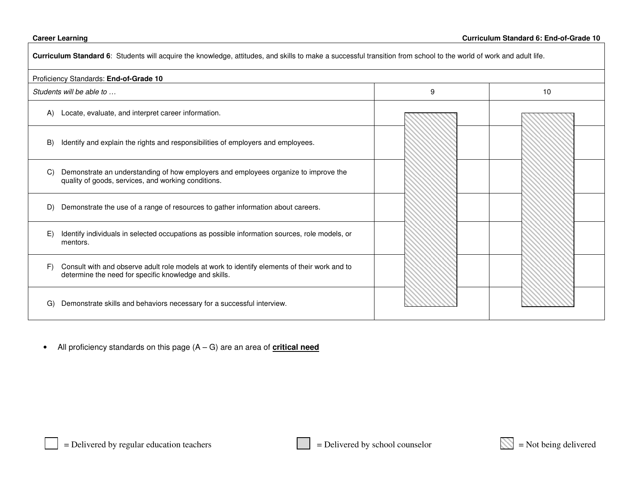| Curriculum Standard 6: Students will acquire the knowledge, attitudes, and skills to make a successful transition from school to the world of work and adult life. |   |    |  |
|--------------------------------------------------------------------------------------------------------------------------------------------------------------------|---|----|--|
| Proficiency Standards: End-of-Grade 10                                                                                                                             |   |    |  |
| Students will be able to                                                                                                                                           | 9 | 10 |  |
| Locate, evaluate, and interpret career information.<br>(A)                                                                                                         |   |    |  |
| Identify and explain the rights and responsibilities of employers and employees.<br>B)                                                                             |   |    |  |
| Demonstrate an understanding of how employers and employees organize to improve the<br>C)<br>quality of goods, services, and working conditions.                   |   |    |  |
| Demonstrate the use of a range of resources to gather information about careers.<br>D)                                                                             |   |    |  |
| E)<br>Identify individuals in selected occupations as possible information sources, role models, or<br>mentors.                                                    |   |    |  |
| Consult with and observe adult role models at work to identify elements of their work and to<br>F)<br>determine the need for specific knowledge and skills.        |   |    |  |
| Demonstrate skills and behaviors necessary for a successful interview.<br>G)                                                                                       |   |    |  |

 $\bullet$ All proficiency standards on this page (A – G) are an area of **critical need**

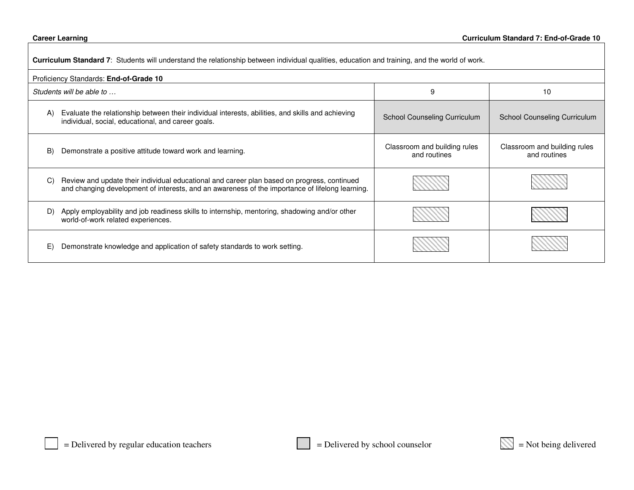| <b>Curriculum Standard 7</b> : Students will understand the relationship between individual qualities, education and training, and the world of work.                                                           |                                              |                                              |  |
|-----------------------------------------------------------------------------------------------------------------------------------------------------------------------------------------------------------------|----------------------------------------------|----------------------------------------------|--|
| Proficiency Standards: End-of-Grade 10                                                                                                                                                                          |                                              |                                              |  |
| Students will be able to                                                                                                                                                                                        | 9                                            | 10                                           |  |
| Evaluate the relationship between their individual interests, abilities, and skills and achieving<br>(A)<br>individual, social, educational, and career goals.                                                  | School Counseling Curriculum                 | <b>School Counseling Curriculum</b>          |  |
| B)<br>Demonstrate a positive attitude toward work and learning.                                                                                                                                                 | Classroom and building rules<br>and routines | Classroom and building rules<br>and routines |  |
| $\mathcal{C}$<br>Review and update their individual educational and career plan based on progress, continued<br>and changing development of interests, and an awareness of the importance of lifelong learning. |                                              |                                              |  |
| Apply employability and job readiness skills to internship, mentoring, shadowing and/or other<br>D)<br>world-of-work related experiences.                                                                       |                                              |                                              |  |
| E)<br>Demonstrate knowledge and application of safety standards to work setting.                                                                                                                                |                                              |                                              |  |

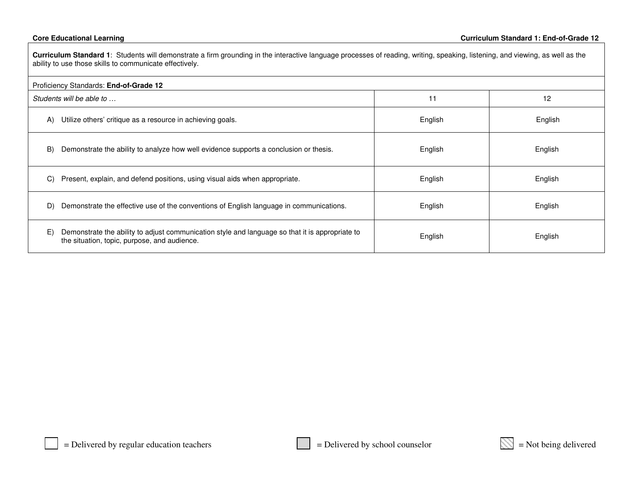Г

| Curriculum Standard 1: Students will demonstrate a firm grounding in the interactive language processes of reading, writing, speaking, listening, and viewing, as well as the<br>ability to use those skills to communicate effectively. |         |         |  |
|------------------------------------------------------------------------------------------------------------------------------------------------------------------------------------------------------------------------------------------|---------|---------|--|
| Proficiency Standards: End-of-Grade 12                                                                                                                                                                                                   |         |         |  |
| Students will be able to                                                                                                                                                                                                                 | 11      | 12      |  |
| Utilize others' critique as a resource in achieving goals.<br>A)                                                                                                                                                                         | English | English |  |
| B)<br>Demonstrate the ability to analyze how well evidence supports a conclusion or thesis.                                                                                                                                              | English | English |  |
| Present, explain, and defend positions, using visual aids when appropriate.<br>C)                                                                                                                                                        | English | English |  |
| Demonstrate the effective use of the conventions of English language in communications.<br>D)                                                                                                                                            | English | English |  |
| E)<br>Demonstrate the ability to adjust communication style and language so that it is appropriate to<br>the situation, topic, purpose, and audience.                                                                                    | English | English |  |

$$
\mathbb{N} =
$$
Not being delivered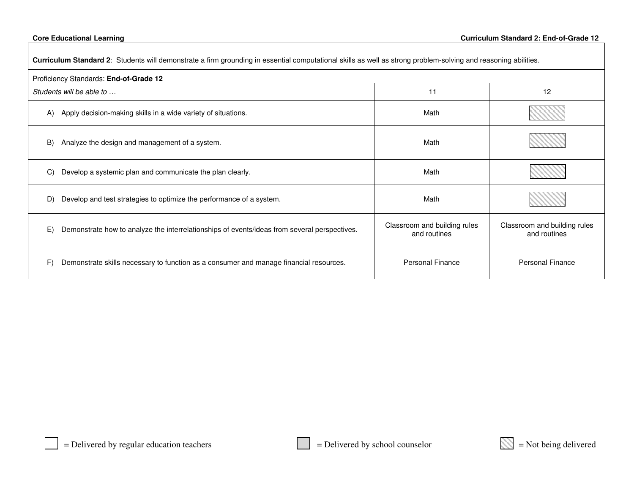| Curriculum Standard 2: Students will demonstrate a firm grounding in essential computational skills as well as strong problem-solving and reasoning abilities. |                                              |                                              |  |
|----------------------------------------------------------------------------------------------------------------------------------------------------------------|----------------------------------------------|----------------------------------------------|--|
| Proficiency Standards: End-of-Grade 12                                                                                                                         |                                              |                                              |  |
| Students will be able to                                                                                                                                       | 11                                           | 12                                           |  |
| Apply decision-making skills in a wide variety of situations.<br>A)                                                                                            | Math                                         |                                              |  |
| Analyze the design and management of a system.<br>B)                                                                                                           | Math                                         |                                              |  |
| Develop a systemic plan and communicate the plan clearly.<br>C)                                                                                                | Math                                         |                                              |  |
| Develop and test strategies to optimize the performance of a system.<br>D)                                                                                     | Math                                         |                                              |  |
| E)<br>Demonstrate how to analyze the interrelationships of events/ideas from several perspectives.                                                             | Classroom and building rules<br>and routines | Classroom and building rules<br>and routines |  |
| F)<br>Demonstrate skills necessary to function as a consumer and manage financial resources.                                                                   | Personal Finance                             | <b>Personal Finance</b>                      |  |

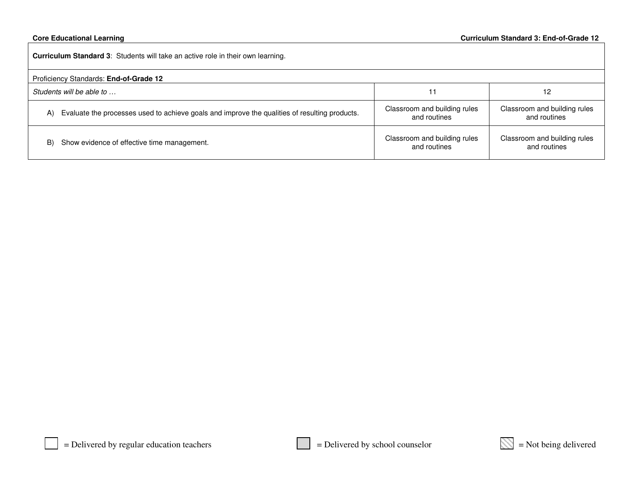**Curriculum Standard 3**: Students will take an active role in their own learning. Proficiency Standards: **End-of-Grade 12** *Students will be able to …*11 12

| Evaluate the processes used to achieve goals and improve the qualities of resulting products. | Classroom and building rules<br>and routines | Classroom and building rules<br>and routines |
|-----------------------------------------------------------------------------------------------|----------------------------------------------|----------------------------------------------|
| Show evidence of effective time management.                                                   | Classroom and building rules                 | Classroom and building rules                 |
| B)                                                                                            | and routines                                 | and routines                                 |

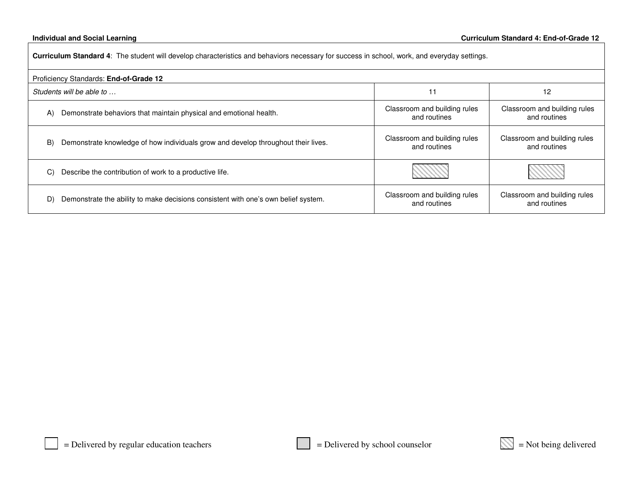| Curriculum Standard 4: The student will develop characteristics and behaviors necessary for success in school, work, and everyday settings. |                                              |                                              |  |
|---------------------------------------------------------------------------------------------------------------------------------------------|----------------------------------------------|----------------------------------------------|--|
| Proficiency Standards: End-of-Grade 12                                                                                                      |                                              |                                              |  |
| Students will be able to                                                                                                                    | 11                                           | 12                                           |  |
| Demonstrate behaviors that maintain physical and emotional health.<br>(A)                                                                   | Classroom and building rules<br>and routines | Classroom and building rules<br>and routines |  |
| Demonstrate knowledge of how individuals grow and develop throughout their lives.<br>B)                                                     | Classroom and building rules<br>and routines | Classroom and building rules<br>and routines |  |
| Describe the contribution of work to a productive life.<br>C)                                                                               |                                              |                                              |  |
| Demonstrate the ability to make decisions consistent with one's own belief system.<br>D)                                                    | Classroom and building rules<br>and routines | Classroom and building rules<br>and routines |  |

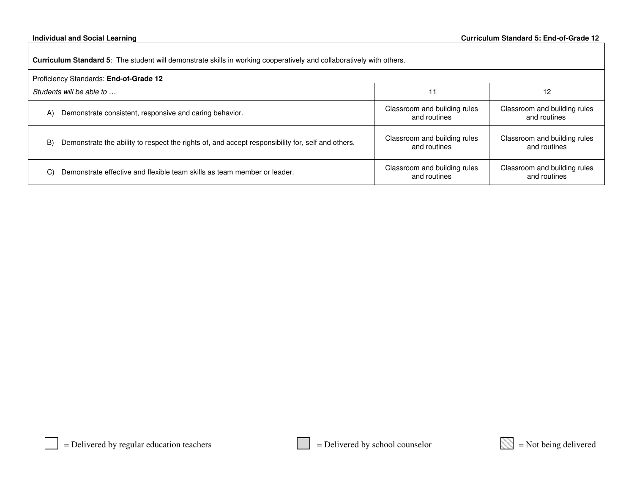**Curriculum Standard 5**: The student will demonstrate skills in working cooperatively and collaboratively with others.

| Proficiency Standards: End-of-Grade 12                                                            |                              |                              |  |
|---------------------------------------------------------------------------------------------------|------------------------------|------------------------------|--|
| Students will be able to                                                                          | 11                           | 12                           |  |
| Demonstrate consistent, responsive and caring behavior.                                           | Classroom and building rules | Classroom and building rules |  |
| (A)                                                                                               | and routines                 | and routines                 |  |
| Demonstrate the ability to respect the rights of, and accept responsibility for, self and others. | Classroom and building rules | Classroom and building rules |  |
| B)                                                                                                | and routines                 | and routines                 |  |
| Demonstrate effective and flexible team skills as team member or leader.                          | Classroom and building rules | Classroom and building rules |  |
| C)                                                                                                | and routines                 | and routines                 |  |

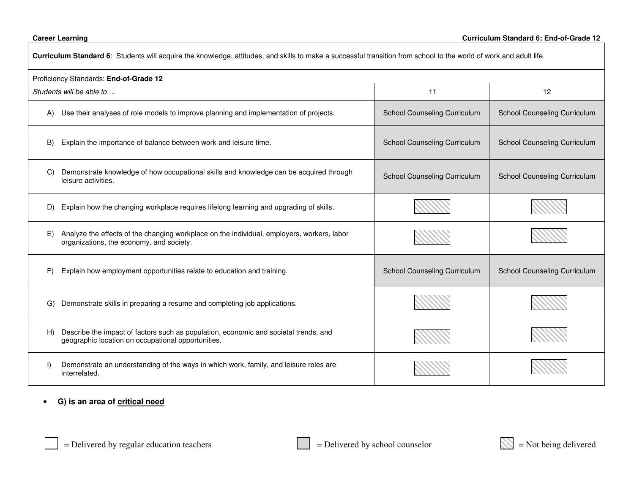| Curriculum Standard 6: Students will acquire the knowledge, attitudes, and skills to make a successful transition from school to the world of work and adult life. |                                     |                                     |  |
|--------------------------------------------------------------------------------------------------------------------------------------------------------------------|-------------------------------------|-------------------------------------|--|
| Proficiency Standards: End-of-Grade 12                                                                                                                             |                                     |                                     |  |
| Students will be able to<br>11<br>12                                                                                                                               |                                     |                                     |  |
| Use their analyses of role models to improve planning and implementation of projects.<br>A)                                                                        | School Counseling Curriculum        | School Counseling Curriculum        |  |
| Explain the importance of balance between work and leisure time.<br>B)                                                                                             | <b>School Counseling Curriculum</b> | <b>School Counseling Curriculum</b> |  |
| Demonstrate knowledge of how occupational skills and knowledge can be acquired through<br>C)<br>leisure activities.                                                | <b>School Counseling Curriculum</b> | School Counseling Curriculum        |  |
| D) Explain how the changing workplace requires lifelong learning and upgrading of skills.                                                                          |                                     |                                     |  |
| Analyze the effects of the changing workplace on the individual, employers, workers, labor<br>E)<br>organizations, the economy, and society.                       |                                     |                                     |  |
| Explain how employment opportunities relate to education and training.<br>F)                                                                                       | <b>School Counseling Curriculum</b> | <b>School Counseling Curriculum</b> |  |
| Demonstrate skills in preparing a resume and completing job applications.<br>G)                                                                                    |                                     |                                     |  |
| Describe the impact of factors such as population, economic and societal trends, and<br>H<br>geographic location on occupational opportunities.                    |                                     |                                     |  |
| Demonstrate an understanding of the ways in which work, family, and leisure roles are<br>$\mathsf{I}$<br>interrelated.                                             |                                     |                                     |  |

### • **G) is an area of critical need**